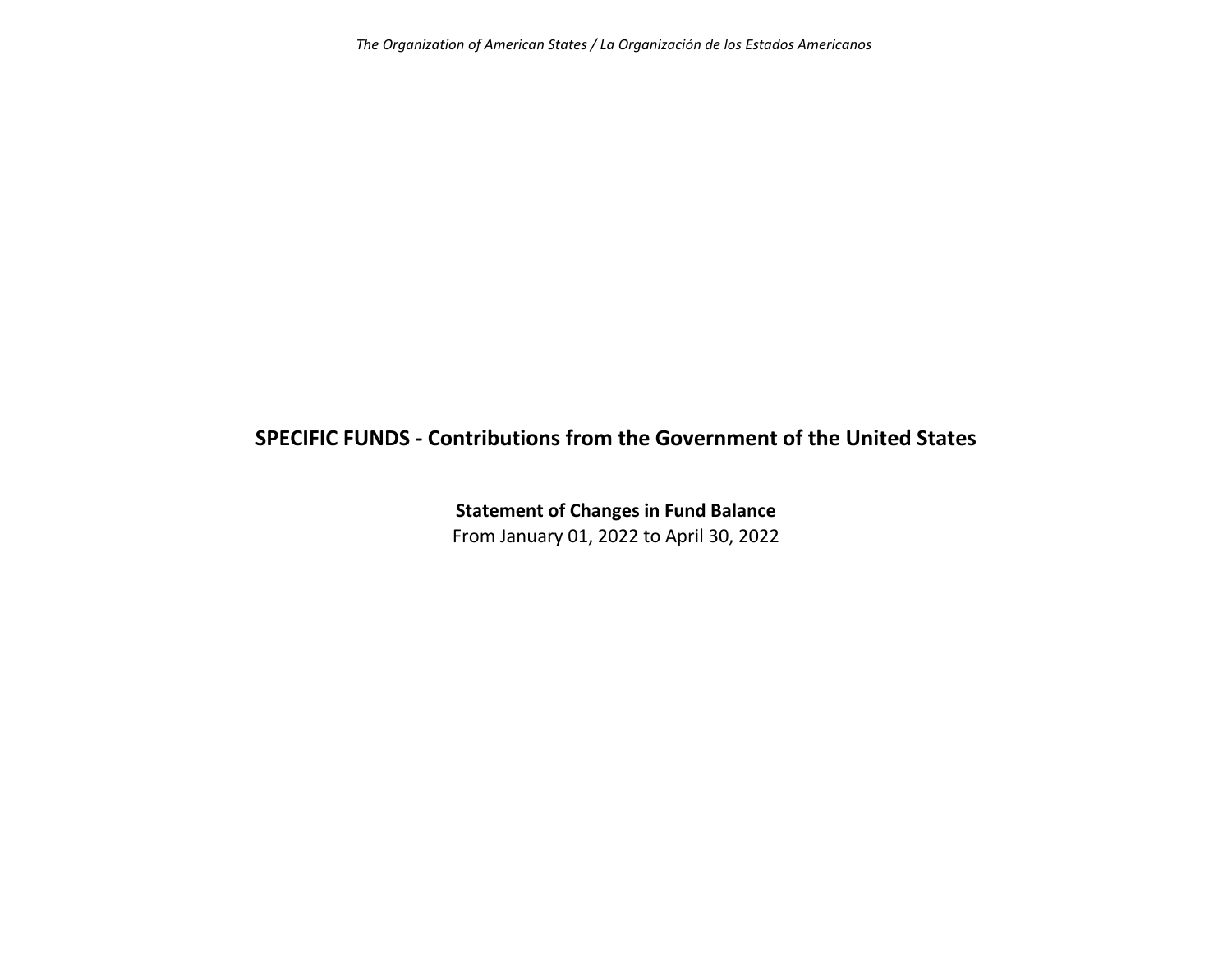*The Organization of American States / La Organización de los Estados Americanos*

# **SPECIFIC FUNDS ‐ Contributions from the Government of the United States**

**Statement of Changes in Fund Balance** From January 01, 2022 to April 30, 2022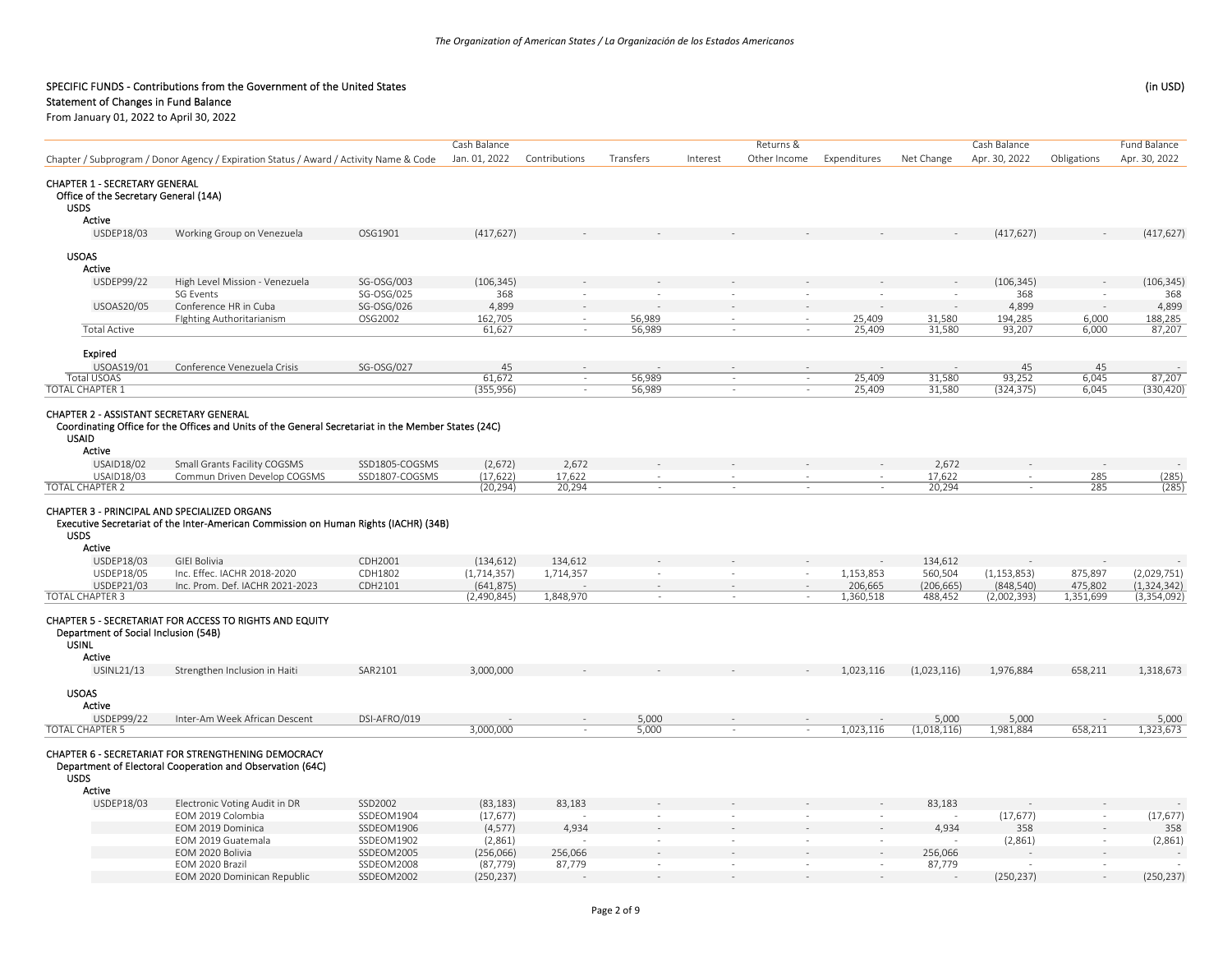## Statement of Changes in Fund Balance

|                                                                                              |                                                                                                                  |                    | Cash Balance              |                      |                          |          | Returns &      |                          |                    | Cash Balance                |                    | <b>Fund Balance</b>  |
|----------------------------------------------------------------------------------------------|------------------------------------------------------------------------------------------------------------------|--------------------|---------------------------|----------------------|--------------------------|----------|----------------|--------------------------|--------------------|-----------------------------|--------------------|----------------------|
|                                                                                              | Chapter / Subprogram / Donor Agency / Expiration Status / Award / Activity Name & Code                           |                    |                           |                      | Transfers                | Interest | Other Income   | Expenditures             | Net Change         | Apr. 30, 2022               | Obligations        | Apr. 30, 2022        |
| <b>CHAPTER 1 - SECRETARY GENERAL</b><br>Office of the Secretary General (14A)<br><b>USDS</b> |                                                                                                                  |                    |                           |                      |                          |          |                |                          |                    |                             |                    |                      |
| Active                                                                                       |                                                                                                                  |                    |                           |                      |                          |          |                |                          |                    |                             |                    |                      |
| USDEP18/03                                                                                   | Working Group on Venezuela                                                                                       | OSG1901            | (417, 627)                |                      |                          |          |                |                          |                    | (417, 627)                  |                    | (417, 627)           |
| <b>USOAS</b>                                                                                 |                                                                                                                  |                    |                           |                      |                          |          |                |                          |                    |                             |                    |                      |
| Active                                                                                       |                                                                                                                  |                    |                           |                      |                          |          |                |                          |                    |                             |                    |                      |
| <b>USDEP99/22</b>                                                                            | High Level Mission - Venezuela                                                                                   | SG-OSG/003         | (106, 345)                |                      |                          |          |                |                          |                    | (106, 345)                  |                    | (106, 345)           |
|                                                                                              | <b>SG Events</b>                                                                                                 | SG-OSG/025         | 368                       |                      |                          |          |                |                          |                    | 368                         |                    | 368                  |
| <b>USOAS20/05</b>                                                                            | Conference HR in Cuba                                                                                            | SG-OSG/026         | 4,899                     |                      |                          |          |                |                          |                    | 4,899                       |                    | 4,899                |
|                                                                                              | Fighting Authoritarianism                                                                                        | OSG2002            | 162,705                   | $\sim$               | 56,989                   | $\sim$   | $\sim$         | 25,409                   | 31,580             | 194,285                     | 6,000              | 188,285              |
| <b>Total Active</b>                                                                          |                                                                                                                  |                    | 61,627                    |                      | 56,989                   |          | $\sim$         | 25,409                   | 31,580             | 93,207                      | 6,000              | $\frac{188}{87,207}$ |
| Expired                                                                                      |                                                                                                                  |                    |                           |                      |                          |          |                |                          |                    |                             |                    |                      |
| USOAS19/01                                                                                   | Conference Venezuela Crisis                                                                                      | SG-OSG/027         | 45                        |                      |                          |          |                |                          |                    | 45                          | 45                 |                      |
| <b>Total USOAS</b>                                                                           |                                                                                                                  |                    | 61,672                    |                      | 56,989                   | $\sim$   | ÷.             | 25,409                   | 31,580             | 93,252                      | 6,045              | 87,207               |
| <b>TOTAL CHAPTER 1</b>                                                                       |                                                                                                                  |                    | (355, 956)                | $\sim$               | 56,989                   |          | $\sim$         | 25,409                   | 31,580             | (324, 375)                  | 6,045              | (330, 420)           |
| <b>CHAPTER 2 - ASSISTANT SECRETARY GENERAL</b><br><b>USAID</b><br>Active                     | Coordinating Office for the Offices and Units of the General Secretariat in the Member States (24C)              |                    |                           |                      |                          |          |                |                          |                    |                             |                    |                      |
| USAID18/02                                                                                   | Small Grants Facility COGSMS                                                                                     | SSD1805-COGSMS     | (2,672)                   | 2,672                |                          |          |                |                          | 2,672              |                             |                    |                      |
| USAID18/03                                                                                   | Commun Driven Develop COGSMS                                                                                     | SSD1807-COGSMS     | (17, 622)                 | 17,622               | $\overline{\phantom{a}}$ |          | $\equiv$       | $\overline{\phantom{a}}$ | 17,622             | $\equiv$                    | 285                | (285)                |
| <b>TOTAL CHAPTER 2</b>                                                                       |                                                                                                                  |                    | (20, 294)                 | 20,294               | $\sim$                   | $\sim$   | ÷,             | $\sim$                   | 20,294             | ÷.                          | 285                | (285)                |
| <b>USDS</b><br>Active                                                                        | Executive Secretariat of the Inter-American Commission on Human Rights (IACHR) (34B)<br><b>GIEI Bolivia</b>      |                    |                           |                      |                          |          |                |                          |                    |                             |                    |                      |
| USDEP18/03<br>USDEP18/05                                                                     | Inc. Effec. IACHR 2018-2020                                                                                      | CDH2001<br>CDH1802 | (134, 612)                | 134,612<br>1,714,357 |                          | $\sim$   |                |                          | 134,612<br>560,504 |                             |                    | (2,029,751)          |
| USDEP21/03                                                                                   | Inc. Prom. Def. IACHR 2021-2023                                                                                  | CDH2101            | (1,714,357)<br>(641, 875) |                      | $\sim$                   | $\sim$   |                | 1,153,853<br>206,665     | (206, 665)         | (1, 153, 853)<br>(848, 540) | 875,897<br>475,802 | (1, 324, 342)        |
| <b>TOTAL CHAPTER 3</b>                                                                       |                                                                                                                  |                    | (2,490,845)               | 1,848,970            |                          |          |                | 1,360,518                | 488,452            | (2,002,393)                 | 1,351,699          | (3,354,092)          |
| Department of Social Inclusion (54B)<br><b>USINL</b><br>Active                               | CHAPTER 5 - SECRETARIAT FOR ACCESS TO RIGHTS AND EQUITY                                                          |                    |                           |                      |                          |          |                |                          |                    |                             |                    |                      |
| USINL21/13                                                                                   | Strengthen Inclusion in Haiti                                                                                    | SAR2101            | 3,000,000                 |                      |                          |          |                | 1,023,116                | (1,023,116)        | 1,976,884                   | 658,211            | 1,318,673            |
| <b>USOAS</b><br>Active                                                                       |                                                                                                                  |                    |                           |                      |                          |          |                |                          |                    |                             |                    |                      |
| USDEP99/22                                                                                   | Inter-Am Week African Descent                                                                                    | DSI-AFRO/019       |                           |                      | 5,000                    |          |                |                          | 5,000              | 5,000                       |                    | 5,000                |
| <b>TOTAL CHAPTER 5</b>                                                                       |                                                                                                                  |                    | 3,000,000                 |                      | 5,000                    |          | $\overline{a}$ | 1,023,116                | (1,018,116)        | 1,981,884                   | 658,211            | 1,323,673            |
| <b>USDS</b><br>Active                                                                        | CHAPTER 6 - SECRETARIAT FOR STRENGTHENING DEMOCRACY<br>Department of Electoral Cooperation and Observation (64C) |                    |                           |                      |                          |          |                |                          |                    |                             |                    |                      |
| USDEP18/03                                                                                   | Electronic Voting Audit in DR                                                                                    | SSD2002            | (83, 183)                 | 83,183               |                          |          |                |                          | 83,183             |                             |                    |                      |
|                                                                                              | EOM 2019 Colombia                                                                                                | SSDEOM1904         | (17, 677)                 |                      |                          | $\sim$   | $\sim$         |                          |                    | (17, 677)                   |                    | (17, 677)            |
|                                                                                              | EOM 2019 Dominica                                                                                                | SSDEOM1906         | (4, 577)                  | 4,934                |                          |          |                |                          | 4,934              | 358                         |                    | 358                  |
|                                                                                              | EOM 2019 Guatemala                                                                                               | SSDEOM1902         | (2,861)                   |                      | $\sim$                   | $\sim$   | $\sim$         | $\sim$                   |                    | (2,861)                     |                    | (2,861)              |
|                                                                                              | EOM 2020 Bolivia                                                                                                 | SSDEOM2005         | (256,066)                 | 256,066              |                          |          |                |                          | 256,066            |                             |                    |                      |
|                                                                                              | EOM 2020 Brazil                                                                                                  | SSDEOM2008         | (87, 779)                 | 87,779               | $\sim$                   | $\sim$   | $\sim$         | $\sim$                   | 87,779             |                             | $\sim$             |                      |
|                                                                                              | EOM 2020 Dominican Republic                                                                                      | SSDEOM2002         | (250, 237)                |                      |                          |          |                |                          |                    | (250, 237)                  |                    | (250, 237)           |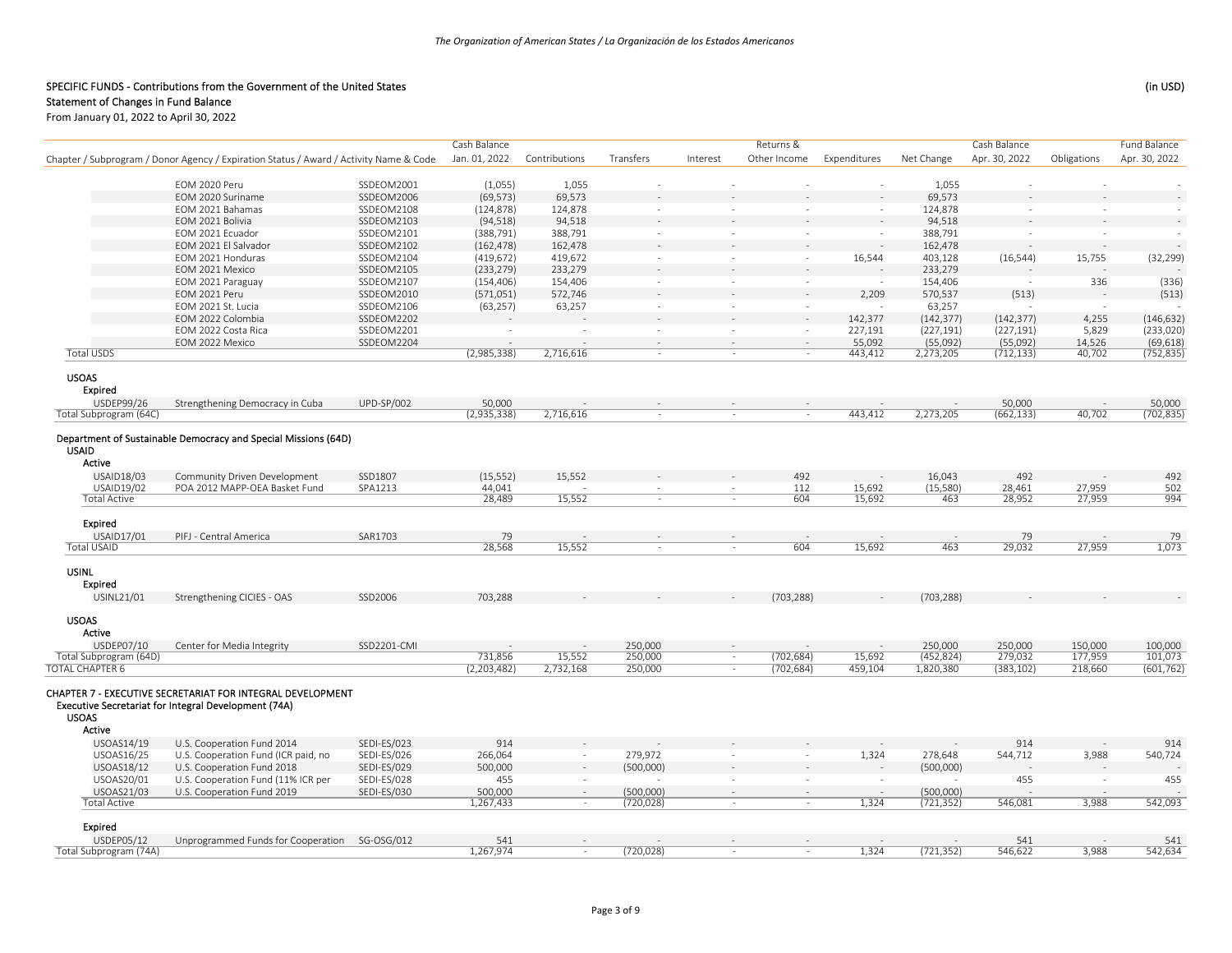|                                                         |                                                                                                                    |                          | Cash Balance         |                 |                          |                  | Returns &                |                          |                  | Cash Balance         |                  | <b>Fund Balance</b>          |
|---------------------------------------------------------|--------------------------------------------------------------------------------------------------------------------|--------------------------|----------------------|-----------------|--------------------------|------------------|--------------------------|--------------------------|------------------|----------------------|------------------|------------------------------|
|                                                         | Chapter / Subprogram / Donor Agency / Expiration Status / Award / Activity Name & Code                             |                          | Jan. 01, 2022        | Contributions   | Transfers                | Interest         | Other Income             | Expenditures             | Net Change       | Apr. 30, 2022        | Obligations      | Apr. 30, 2022                |
|                                                         |                                                                                                                    |                          |                      |                 |                          |                  |                          |                          |                  |                      |                  |                              |
|                                                         | EOM 2020 Peru<br>EOM 2020 Suriname                                                                                 | SSDEOM2001<br>SSDEOM2006 | (1,055)<br>(69, 573) | 1,055<br>69,573 | $\ddot{\phantom{a}}$     |                  |                          | $\bar{z}$                | 1,055<br>69,573  | $\ddot{\phantom{1}}$ |                  |                              |
|                                                         | EOM 2021 Bahamas                                                                                                   | SSDEOM2108               | (124, 878)           | 124,878         | $\overline{\phantom{a}}$ | $\sim$           | $\equiv$                 | $\overline{\phantom{a}}$ | 124,878          | $\sim$               | $\sim$           |                              |
|                                                         | EOM 2021 Bolivia                                                                                                   | SSDEOM2103               | (94, 518)            | 94,518          |                          |                  |                          |                          | 94,518           |                      |                  |                              |
|                                                         | EOM 2021 Ecuador                                                                                                   | SSDEOM2101               | (388, 791)           | 388,791         | $\sim$                   | $\sim$           | $\sim$                   | $\sim$                   | 388,791          | $\sim$               | $\sim$           |                              |
|                                                         | EOM 2021 El Salvador                                                                                               | SSDEOM2102               | (162, 478)           | 162,478         |                          |                  |                          |                          | 162,478          |                      |                  |                              |
|                                                         | EOM 2021 Honduras                                                                                                  | SSDEOM2104               | (419, 672)           | 419,672         | $\sim$                   | $\sim$           | $\sim$                   | 16,544                   | 403,128          | (16, 544)            | 15,755           | (32, 299)                    |
|                                                         | EOM 2021 Mexico                                                                                                    | SSDEOM2105               | (233, 279)           | 233,279         |                          |                  |                          |                          | 233,279          |                      |                  |                              |
|                                                         | EOM 2021 Paraguay                                                                                                  | SSDEOM2107               | (154, 406)           | 154,406         | $\sim$                   | $\sim$           | $\sim$                   | $\sim$                   | 154,406          | $\overline{a}$       | 336              | (336)                        |
|                                                         | EOM 2021 Peru                                                                                                      | SSDEOM2010               | (571,051)            | 572,746         |                          |                  |                          | 2,209                    | 570,537          | (513)                |                  | (513)                        |
|                                                         | EOM 2021 St. Lucia                                                                                                 | SSDEOM2106               | (63, 257)            | 63,257          | $\sim$                   | $\sim$           | $\sim$                   | $\sim$                   | 63,257           |                      | $\sim$           |                              |
|                                                         | EOM 2022 Colombia                                                                                                  | SSDEOM2202               |                      |                 |                          | $\sim$           | ÷.                       | 142,377                  | (142, 377)       | (142, 377)           | 4,255            | (146, 632)                   |
|                                                         | EOM 2022 Costa Rica                                                                                                | SSDEOM2201               | $\sim$               | $\sim$          | $\sim$                   | $\sim$           | $\sim$                   | 227,191                  | (227, 191)       | (227, 191)           | 5,829            | (233, 020)                   |
|                                                         | EOM 2022 Mexico                                                                                                    | SSDEOM2204               |                      |                 |                          |                  | ÷.                       | 55,092                   | (55,092)         | (55,092)             | 14,526           | $\frac{(69,618)}{(752,835)}$ |
| <b>Total USDS</b>                                       |                                                                                                                    |                          | (2,985,338)          | 2,716,616       | $\sim$                   | $\sim$           | ÷.                       | 443,412                  | 2,273,205        | (712, 133)           | 40,702           |                              |
| <b>USOAS</b><br><b>Expired</b>                          |                                                                                                                    |                          |                      |                 |                          |                  |                          |                          |                  |                      |                  |                              |
| USDEP99/26                                              | Strengthening Democracy in Cuba                                                                                    | <b>UPD-SP/002</b>        | 50,000               |                 |                          |                  |                          |                          |                  | 50,000               |                  | 50,000                       |
| Total Subprogram (64C)                                  |                                                                                                                    |                          | (2,935,338)          | 2,716,616       |                          |                  | $\sim$                   | 443,412                  | 2,273,205        | (662, 133)           | 40,702           | (702, 835)                   |
| <b>USAID</b><br>Active                                  | Department of Sustainable Democracy and Special Missions (64D)                                                     |                          |                      |                 |                          |                  |                          |                          |                  |                      |                  |                              |
| USAID18/03                                              | Community Driven Development                                                                                       | SSD1807                  | (15, 552)            | 15,552          |                          |                  | 492                      |                          | 16,043           | 492                  |                  | 492                          |
| USAID19/02<br><b>Total Active</b>                       | POA 2012 MAPP-OEA Basket Fund                                                                                      | SPA1213                  | 44,041<br>28,489     | 15,552          | $\sim$                   | $\sim$<br>$\sim$ | 112<br>604               | 15,692<br>15,692         | (15, 580)<br>463 | 28,461<br>28,952     | 27,959<br>27,959 | 502<br>994                   |
|                                                         |                                                                                                                    |                          |                      |                 |                          |                  |                          |                          |                  |                      |                  |                              |
| Expired                                                 |                                                                                                                    |                          |                      |                 |                          |                  |                          |                          |                  |                      |                  |                              |
| <b>USAID17/01</b>                                       | PIFJ - Central America                                                                                             | SAR1703                  | 79                   |                 | $\sim$                   | $\sim$           | $\sim$                   |                          | $\sim$           | 79                   |                  | 79                           |
| <b>Total USAID</b>                                      |                                                                                                                    |                          | 28,568               | 15,552          |                          | $\sim$           | 604                      | 15,692                   | 463              | 29,032               | 27,959           | 1,073                        |
| <b>USINL</b><br>Expired                                 |                                                                                                                    |                          |                      |                 |                          |                  |                          |                          |                  |                      |                  |                              |
| USINL21/01                                              | Strengthening CICIES - OAS                                                                                         | SSD2006                  | 703,288              |                 |                          |                  | (703, 288)               |                          | (703, 288)       |                      |                  |                              |
| <b>USOAS</b><br>Active                                  |                                                                                                                    |                          |                      |                 |                          |                  |                          |                          |                  |                      |                  |                              |
| <b>USDEP07/10</b>                                       | Center for Media Integrity                                                                                         | SSD2201-CMI              |                      | $\sim$          | 250,000                  | $\sim$           |                          |                          | 250,000          | 250,000              | 150,000          | 100,000                      |
| Total Subprogram (64D)                                  |                                                                                                                    |                          | 731,856              | 15,552          | 250,000                  | $\sim$           | (702, 684)               | 15,692                   | (452, 824)       | 279,032              | 177,959          | 101,073                      |
| <b>TOTAL CHAPTER 6</b><br><b>USOAS</b><br><b>Active</b> | CHAPTER 7 - EXECUTIVE SECRETARIAT FOR INTEGRAL DEVELOPMENT<br>Executive Secretariat for Integral Development (74A) |                          | (2, 203, 482)        | 2,732,168       | 250,000                  | $\sim$           | (702, 684)               | 459,104                  | 1,820,380        | (383, 102)           | 218,660          | (601, 762)                   |
| USOAS14/19                                              | U.S. Cooperation Fund 2014                                                                                         | SEDI-ES/023              | 914                  |                 |                          |                  |                          |                          |                  | 914                  |                  | 914                          |
| USOAS16/25                                              | U.S. Cooperation Fund (ICR paid, no                                                                                | SEDI-ES/026              | 266,064              | $\sim$          | 279,972                  | $\sim$           | $\overline{\phantom{a}}$ | 1,324                    | 278,648          | 544,712              | 3,988            | 540,724                      |
| <b>USOAS18/12</b>                                       | U.S. Cooperation Fund 2018                                                                                         | SEDI-ES/029              | 500,000              |                 | (500,000)                |                  |                          |                          | (500,000)        |                      |                  |                              |
| USOAS20/01                                              | U.S. Cooperation Fund (11% ICR per                                                                                 | SEDI-ES/028              | 455                  | $\sim$          |                          | $\sim$           | $\sim$                   | $\sim$                   |                  | 455                  | $\sim$           | 455                          |
| USOAS21/03                                              | U.S. Cooperation Fund 2019                                                                                         | SEDI-ES/030              | 500,000              |                 | (500,000)                |                  |                          |                          | (500,000)        |                      |                  |                              |
| <b>Total Active</b>                                     |                                                                                                                    |                          | 1,267,433            | $\sim$          | (720, 028)               | $\sim$           | ÷.                       | 1,324                    | (721, 352)       | 546,081              | 3,988            | 542,093                      |
| Expired                                                 |                                                                                                                    |                          |                      |                 |                          |                  |                          |                          |                  |                      |                  |                              |
| USDEP05/12<br>Total Subprogram (74A)                    | Unprogrammed Funds for Cooperation SG-OSG/012                                                                      |                          | 541<br>1,267,974     |                 | (720, 028)               |                  |                          | 1,324                    | (721, 352)       | 541<br>546,622       | 3,988            | 541<br>542,634               |
|                                                         |                                                                                                                    |                          |                      |                 |                          |                  |                          |                          |                  |                      |                  |                              |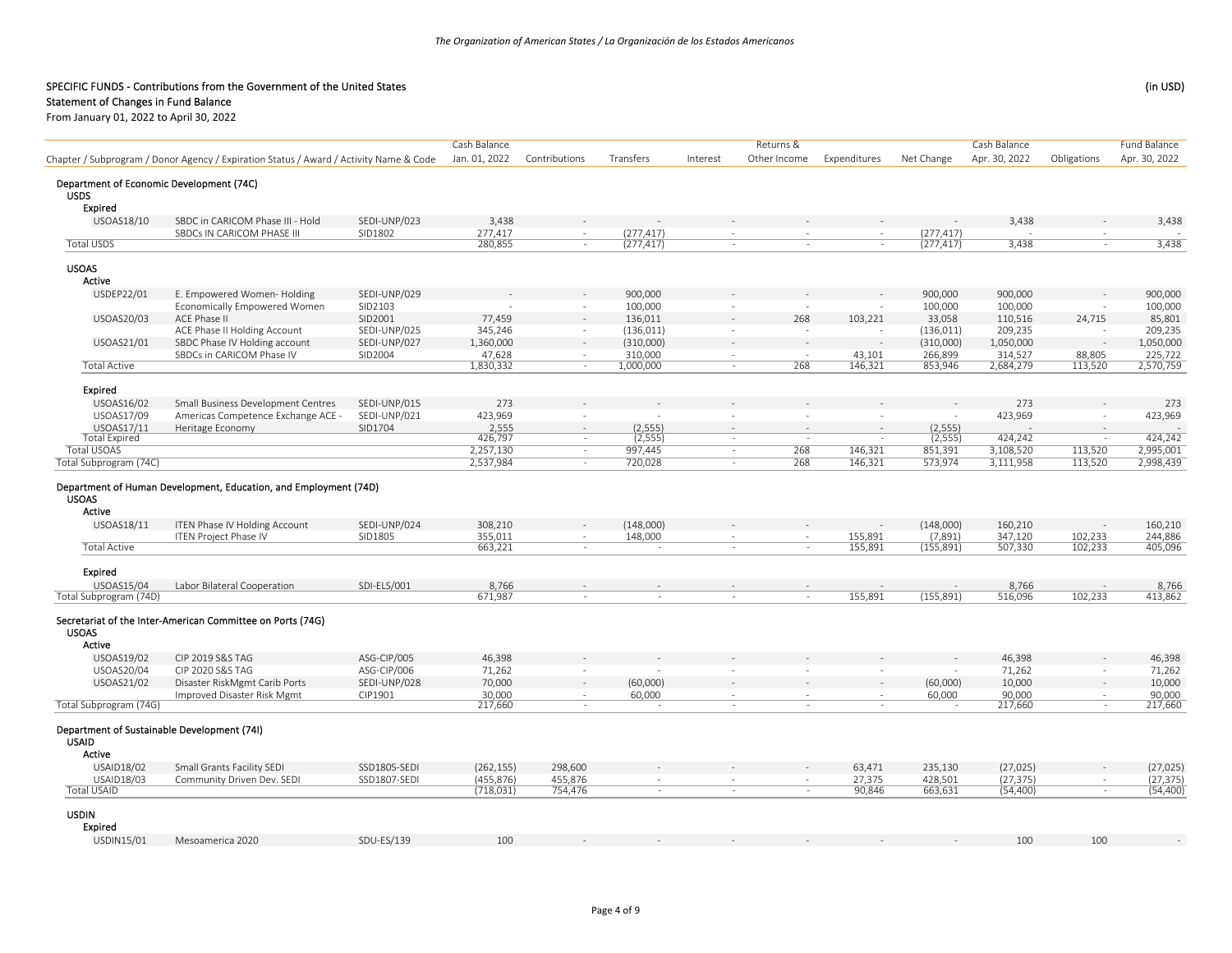## Statement of Changes in Fund Balance

|                                                             |                                                                                        |              | Cash Balance     |               |                          |                          | Returns &    |                |            | Cash Balance  |             | <b>Fund Balance</b> |
|-------------------------------------------------------------|----------------------------------------------------------------------------------------|--------------|------------------|---------------|--------------------------|--------------------------|--------------|----------------|------------|---------------|-------------|---------------------|
|                                                             | Chapter / Subprogram / Donor Agency / Expiration Status / Award / Activity Name & Code |              | Jan. 01, 2022    | Contributions | Transfers                | Interest                 | Other Income | Expenditures   | Net Change | Apr. 30, 2022 | Obligations | Apr. 30, 2022       |
|                                                             |                                                                                        |              |                  |               |                          |                          |              |                |            |               |             |                     |
| Department of Economic Development (74C)<br><b>USDS</b>     |                                                                                        |              |                  |               |                          |                          |              |                |            |               |             |                     |
| <b>Expired</b>                                              |                                                                                        |              |                  |               |                          |                          |              |                |            |               |             |                     |
| USOAS18/10                                                  | SBDC in CARICOM Phase III - Hold                                                       | SEDI-UNP/023 | 3,438            |               |                          |                          |              |                |            | 3,438         |             | 3,438               |
|                                                             | SBDCs IN CARICOM PHASE III                                                             | SID1802      | 277,417          | $\sim$        | (277, 417)               | $\overline{\phantom{a}}$ |              | $\sim$         | (277, 417) |               |             |                     |
| <b>Total USDS</b>                                           |                                                                                        |              | 280,855          | $\sim$        | (277, 417)               | $\sim$                   | ÷.           | $\sim$         | (277, 417) | 3,438         | $\sim$      | 3,438               |
| <b>USOAS</b>                                                |                                                                                        |              |                  |               |                          |                          |              |                |            |               |             |                     |
| Active                                                      |                                                                                        |              |                  |               |                          |                          |              |                |            |               |             |                     |
| USDEP22/01                                                  | E. Empowered Women-Holding                                                             | SEDI-UNP/029 |                  |               | 900,000                  |                          |              |                | 900,000    | 900,000       |             | 900,000             |
|                                                             | Economically Empowered Women                                                           | SID2103      |                  | $\sim$        | 100,000                  | $\sim$                   | $\sim$       |                | 100,000    | 100,000       |             | 100,000             |
| <b>USOAS20/03</b>                                           | ACE Phase II                                                                           | SID2001      | 77,459           |               | 136,011                  |                          | 268          | 103,221        | 33,058     | 110,516       | 24,715      | 85,801              |
|                                                             | ACE Phase II Holding Account                                                           | SEDI-UNP/025 | 345,246          | $\sim$        | (136, 011)               | $\sim$                   |              | $\overline{a}$ | (136, 011) | 209,235       |             | 209,235             |
| USOAS21/01                                                  | SBDC Phase IV Holding account                                                          | SEDI-UNP/027 | 1,360,000        |               | (310,000)                |                          |              | $\sim$         | (310,000)  | 1,050,000     |             | 1,050,000           |
|                                                             | SBDCs in CARICOM Phase IV                                                              | SID2004      | 47,628           | $\sim$        | 310,000                  | $\sim$<br>$\sim$         | in 1919.     | 43,101         | 266,899    | 314,527       | 88,805      | 225,722             |
| <b>Total Active</b>                                         |                                                                                        |              | 1,830,332        | $\sim$        | 1,000,000                |                          | 268          | 146,321        | 853,946    | 2,684,279     | 113,520     | 2,570,759           |
| Expired                                                     |                                                                                        |              |                  |               |                          |                          |              |                |            |               |             |                     |
| <b>USOAS16/02</b>                                           | Small Business Development Centres                                                     | SEDI-UNP/015 | 273              |               |                          |                          |              |                |            | 273           |             | 273                 |
| USOAS17/09                                                  | Americas Competence Exchange ACE -                                                     | SEDI-UNP/021 | 423,969          | $\sim$        |                          | $\sim$                   |              |                |            | 423,969       |             | 423,969             |
| USOAS17/11                                                  | Heritage Economy                                                                       | SID1704      | 2,555            | $\sim$        | (2, 555)                 |                          |              | $\sim$         | (2, 555)   |               |             |                     |
| <b>Total Expired</b>                                        |                                                                                        |              | 426,797          | $\sim$        | (2, 555)                 | $\sim$                   |              |                | (2, 555)   | 424,242       |             | 424,242             |
| <b>Total USOAS</b>                                          |                                                                                        |              | 2,257,130        | $\sim$        | 997,445                  | $\sim$                   | 268          | 146,321        | 851,391    | 3,108,520     | 113,520     | 2,995,001           |
| Total Subprogram (74C)                                      |                                                                                        |              | 2,537,984        | $\sim$        | 720,028                  | $\sim$                   | 268          | 146,321        | 573,974    | 3,111,958     | 113,520     | 2,998,439           |
| <b>USOAS</b><br>Active                                      | Department of Human Development, Education, and Employment (74D)                       |              |                  |               |                          |                          |              |                |            |               |             |                     |
| USOAS18/11                                                  | ITEN Phase IV Holding Account                                                          | SEDI-UNP/024 | 308,210          |               | (148,000)                |                          |              | $\sim$         | (148,000)  | 160,210       |             | 160,210             |
|                                                             | <b>ITEN Project Phase IV</b>                                                           | SID1805      | 355,011          | $\sim$        | 148,000                  | $\sim$                   | $\sim$       | 155,891        | (7,891)    | 347,120       | 102,233     | 244,886             |
| <b>Total Active</b>                                         |                                                                                        |              | 663,221          | $\sim$        | $\sim$                   | $\sim$                   | $\sim$       | 155,891        | (155, 891) | 507,330       | 102,233     | 405,096             |
|                                                             |                                                                                        |              |                  |               |                          |                          |              |                |            |               |             |                     |
| Expired<br>USOAS15/04                                       |                                                                                        | SDI-ELS/001  |                  |               |                          |                          |              |                |            | 8.766         |             | 8,766               |
| Total Subprogram (74D)                                      | Labor Bilateral Cooperation                                                            |              | 8,766<br>671,987 | $\omega$      | $\sim$                   | $\sim$                   | $\sim$       | 155,891        | (155, 891) | 516,096       | 102,233     | 413,862             |
|                                                             |                                                                                        |              |                  |               |                          |                          |              |                |            |               |             |                     |
| <b>USOAS</b><br>Active                                      | Secretariat of the Inter-American Committee on Ports (74G)                             |              |                  |               |                          |                          |              |                |            |               |             |                     |
| USOAS19/02                                                  | CIP 2019 S&S TAG                                                                       | ASG-CIP/005  | 46,398           |               |                          |                          |              |                |            | 46,398        |             | 46,398              |
| <b>USOAS20/04</b>                                           | CIP 2020 S&S TAG                                                                       | ASG-CIP/006  | 71,262           |               |                          | $\sim$                   | $\sim$       | $\sim$         |            | 71,262        |             | 71,262              |
| USOAS21/02                                                  | Disaster RiskMgmt Carib Ports                                                          | SEDI-UNP/028 | 70,000           |               | (60,000)                 |                          |              | $\sim$         | (60,000)   | 10,000        |             | 10,000              |
|                                                             | Improved Disaster Risk Mgmt                                                            | CIP1901      | 30,000           | $\mathbf{r}$  | 60,000                   | $\sim$                   |              | $\sim$         | 60,000     | 90,000        | $\sim$      | 90,000              |
| Total Subprogram (74G)                                      |                                                                                        |              | 217,660          | $\sim$        | $\overline{\phantom{a}}$ | $\sim$                   | $\sim$       | $\sim$         |            | 217,660       | $\sim$      | 217,660             |
| Department of Sustainable Development (74I)<br><b>USAID</b> |                                                                                        |              |                  |               |                          |                          |              |                |            |               |             |                     |
| Active                                                      |                                                                                        |              |                  |               |                          |                          |              |                |            |               |             |                     |
| USAID18/02                                                  | Small Grants Facility SEDI                                                             | SSD1805-SEDI | (262, 155)       | 298,600       |                          |                          |              | 63,471         | 235,130    | (27, 025)     |             | (27, 025)           |
| USAID18/03                                                  | Community Driven Dev. SEDI                                                             | SSD1807-SEDI | (455, 876)       | 455,876       |                          | $\sim$                   | $\sim$       | 27,375         | 428,501    | (27, 375)     | $\sim$      | (27, 375)           |
| <b>Total USAID</b>                                          |                                                                                        |              | (718, 031)       | 754,476       | $\sim$                   | $\sim$                   | $\sim$       | 90,846         | 663,631    | (54, 400)     |             | (54, 400)           |
| <b>USDIN</b><br><b>Expired</b>                              |                                                                                        |              |                  |               |                          |                          |              |                |            |               |             |                     |
| USDIN15/01                                                  | Mesoamerica 2020                                                                       | SDU-ES/139   | 100              |               |                          |                          |              |                |            | 100           | 100         |                     |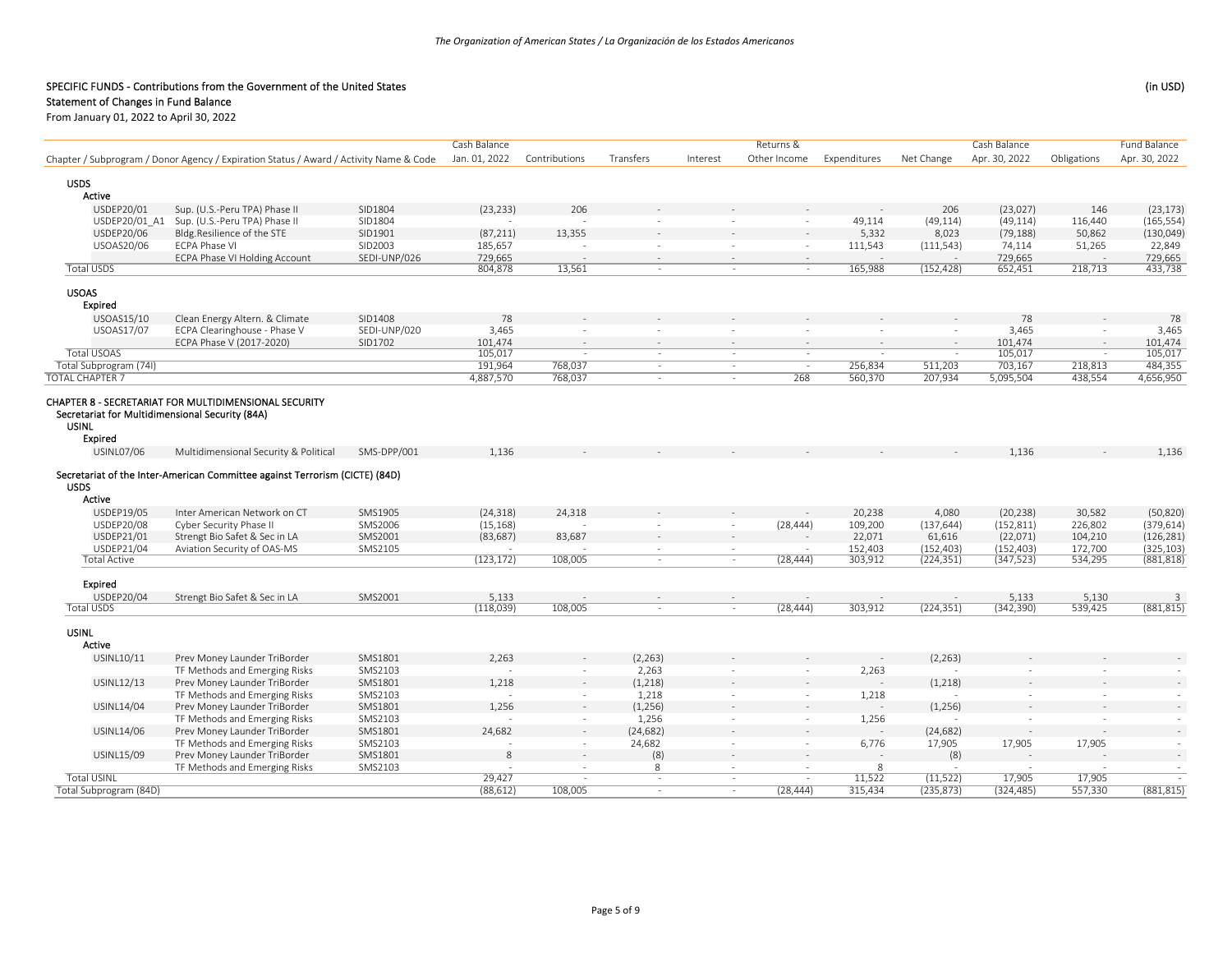# Statement of Changes in Fund Balance

| Jan. 01, 2022<br>Apr. 30, 2022<br>Chapter / Subprogram / Donor Agency / Expiration Status / Award / Activity Name & Code<br>Contributions<br>Transfers<br>Other Income<br>Expenditures<br>Net Change<br>Apr. 30, 2022<br>Obligations<br>Interest<br><b>USDS</b><br>Active<br>USDEP20/01<br>Sup. (U.S.-Peru TPA) Phase II<br>SID1804<br>(23, 233)<br>206<br>206<br>(23,027)<br>146<br>(23, 173)<br>Sup. (U.S.-Peru TPA) Phase II<br>USDEP20/01 A1<br>SID1804<br>49,114<br>(49, 114)<br>(49, 114)<br>116,440<br>(165, 554)<br>$\sim$<br>13,355<br>USDEP20/06<br>Bldg.Resilience of the STE<br>SID1901<br>(87, 211)<br>5,332<br>8,023<br>(79, 188)<br>50,862<br>(130, 049)<br>USOAS20/06<br><b>ECPA Phase VI</b><br>SID2003<br>185,657<br>74,114<br>22,849<br>111,543<br>(111, 543)<br>51,265<br>$\sim$<br>÷.<br>SEDI-UNP/026<br>729,665<br>729,665<br>729,665<br>ECPA Phase VI Holding Account<br><b>Total USDS</b><br>13,561<br>165,988<br>(152, 428)<br>218,713<br>433,738<br>804,878<br>652,451<br>$\sim$<br>$\sim$<br>$\sim$<br><b>USOAS</b><br>Expired<br>USOAS15/10<br>Clean Energy Altern. & Climate<br>SID1408<br>78<br>78<br>78<br>USOAS17/07<br>SEDI-UNP/020<br>3,465<br>3,465<br>ECPA Clearinghouse - Phase V<br>3,465<br>$\sim$<br>$\overline{\phantom{a}}$<br>$\sim$<br>$\sim$<br>÷.<br>$\sim$<br>ECPA Phase V (2017-2020)<br>SID1702<br>101,474<br>101,474<br>101,474<br>$\sim$<br>$\overline{a}$<br>$\sim$<br>$\sim$<br>$\sim$<br>$\sim$<br><b>Total USOAS</b><br>105,017<br>105,017<br>105,017<br>in a<br>$\sim$<br>$\sim$<br>$\sim$<br>$\sim$<br>$\overline{\phantom{a}}$<br>$\sim$<br>Total Subprogram (74I)<br>191,964<br>703,167<br>484,355<br>768,037<br>256,834<br>511,203<br>218,813<br>$\sim$<br>$\sim$<br>ч.<br><b>TOTAL CHAPTER 7</b><br>4,656,950<br>4,887,570<br>268<br>560,370<br>207,934<br>5,095,504<br>438,554<br>768,037<br>$\sim$<br>$\sim$<br>CHAPTER 8 - SECRETARIAT FOR MULTIDIMENSIONAL SECURITY<br>Secretariat for Multidimensional Security (84A)<br><b>USINL</b><br>Expired<br><b>USINL07/06</b><br>Multidimensional Security & Political<br>SMS-DPP/001<br>1,136<br>1,136<br>1,136<br>Secretariat of the Inter-American Committee against Terrorism (CICTE) (84D)<br><b>USDS</b><br>Active<br>USDEP19/05<br>SMS1905<br>(24, 318)<br>24,318<br>20,238<br>30,582<br>Inter American Network on CT<br>4,080<br>(20, 238)<br>(50, 820)<br>USDEP20/08<br>SMS2006<br>(15, 168)<br>(152, 811)<br>226,802<br>(379, 614)<br>Cyber Security Phase II<br>(28, 444)<br>109,200<br>(137, 644)<br>$\omega$<br>83,687<br>USDEP21/01<br>Strengt Bio Safet & Sec in LA<br>SMS2001<br>(83, 687)<br>22,071<br>61,616<br>(22,071)<br>104,210<br>(126, 281)<br>$\sim$<br>USDEP21/04<br>Aviation Security of OAS-MS<br>SMS2105<br>(152, 403)<br>(152, 403)<br>172,700<br>(325, 103)<br>152,403<br>$\sim$<br>$\sim$<br>(123, 172)<br>108,005<br><b>Total Active</b><br>(28, 444)<br>303,912<br>(224, 351)<br>(347, 523)<br>534,295<br>(881, 818)<br>$\sim$<br>$\sim$<br><b>Expired</b><br>USDEP20/04<br>SMS2001<br>Strengt Bio Safet & Sec in LA<br>5,133<br>5,133<br>5,130<br>$\overline{3}$<br>$\sim$<br><b>Total USDS</b><br>(342, 390)<br>539,425<br>(881, 815)<br>(118,039)<br>108,005<br>(28, 444)<br>303,912<br>(224, 351)<br>$\sim$<br>$\sim$<br><b>USINL</b><br>Active<br>(2, 263)<br>(2, 263)<br>USINL10/11<br>Prev Money Launder TriBorder<br>SMS1801<br>2,263<br>TF Methods and Emerging Risks<br>SMS2103<br>2,263<br>2,263<br>$\sim$<br>$\sim$<br>$\sim$<br>$\sim$<br>$\sim$<br>$\sim$<br>USINL12/13<br>Prev Money Launder TriBorder<br>SMS1801<br>1,218<br>(1,218)<br>(1,218)<br>TF Methods and Emerging Risks<br>SMS2103<br>1,218<br>1,218<br>$\sim$<br>$\sim$<br>$\sim$<br>$\sim$<br>$\sim$<br>USINL14/04<br>Prev Money Launder TriBorder<br>SMS1801<br>1,256<br>(1,256)<br>(1,256)<br>1,256<br>TF Methods and Emerging Risks<br>SMS2103<br>1,256<br>$\sim$<br>$\sim$<br>$\sim$<br>$\sim$<br>$\sim$<br>$\sim$<br>SMS1801<br>24,682<br>(24, 682)<br>USINL14/06<br>Prev Money Launder TriBorder<br>(24, 682)<br>$\sim$<br>$\overline{\phantom{a}}$<br>TF Methods and Emerging Risks<br>SMS2103<br>24,682<br>17,905<br>17,905<br>17,905<br>6,776<br>$\sim$<br>$\sim$<br>$\overline{\phantom{a}}$<br>$\sim$<br>(8)<br>Prev Money Launder TriBorder<br>SMS1801<br>(8)<br>USINL15/09<br>8<br>$\sim$<br>TF Methods and Emerging Risks<br>SMS2103<br>8<br>8<br>$\sim$<br><b>Total USINL</b><br>29,427<br>11,522<br>(11, 522)<br>17,905<br>17,905<br>$\sim$<br>$\sim$<br>315,434<br>108,005<br>(28, 444)<br>$\sim$ |                        |  | Cash Balance |  | Returns & |            | Cash Balance |         | Fund Balance |
|-------------------------------------------------------------------------------------------------------------------------------------------------------------------------------------------------------------------------------------------------------------------------------------------------------------------------------------------------------------------------------------------------------------------------------------------------------------------------------------------------------------------------------------------------------------------------------------------------------------------------------------------------------------------------------------------------------------------------------------------------------------------------------------------------------------------------------------------------------------------------------------------------------------------------------------------------------------------------------------------------------------------------------------------------------------------------------------------------------------------------------------------------------------------------------------------------------------------------------------------------------------------------------------------------------------------------------------------------------------------------------------------------------------------------------------------------------------------------------------------------------------------------------------------------------------------------------------------------------------------------------------------------------------------------------------------------------------------------------------------------------------------------------------------------------------------------------------------------------------------------------------------------------------------------------------------------------------------------------------------------------------------------------------------------------------------------------------------------------------------------------------------------------------------------------------------------------------------------------------------------------------------------------------------------------------------------------------------------------------------------------------------------------------------------------------------------------------------------------------------------------------------------------------------------------------------------------------------------------------------------------------------------------------------------------------------------------------------------------------------------------------------------------------------------------------------------------------------------------------------------------------------------------------------------------------------------------------------------------------------------------------------------------------------------------------------------------------------------------------------------------------------------------------------------------------------------------------------------------------------------------------------------------------------------------------------------------------------------------------------------------------------------------------------------------------------------------------------------------------------------------------------------------------------------------------------------------------------------------------------------------------------------------------------------------------------------------------------------------------------------------------------------------------------------------------------------------------------------------------------------------------------------------------------------------------------------------------------------------------------------------------------------------------------------------------------------------------------------------------------------------------------------------------------------------------------------------------------------------------------------------------------------------------------------------------------------------------------------------------------------------------------------------------------------------------------------------------------------------------------------------------------------------------------|------------------------|--|--------------|--|-----------|------------|--------------|---------|--------------|
|                                                                                                                                                                                                                                                                                                                                                                                                                                                                                                                                                                                                                                                                                                                                                                                                                                                                                                                                                                                                                                                                                                                                                                                                                                                                                                                                                                                                                                                                                                                                                                                                                                                                                                                                                                                                                                                                                                                                                                                                                                                                                                                                                                                                                                                                                                                                                                                                                                                                                                                                                                                                                                                                                                                                                                                                                                                                                                                                                                                                                                                                                                                                                                                                                                                                                                                                                                                                                                                                                                                                                                                                                                                                                                                                                                                                                                                                                                                                                                                                                                                                                                                                                                                                                                                                                                                                                                                                                                                                                                                                           |                        |  |              |  |           |            |              |         |              |
|                                                                                                                                                                                                                                                                                                                                                                                                                                                                                                                                                                                                                                                                                                                                                                                                                                                                                                                                                                                                                                                                                                                                                                                                                                                                                                                                                                                                                                                                                                                                                                                                                                                                                                                                                                                                                                                                                                                                                                                                                                                                                                                                                                                                                                                                                                                                                                                                                                                                                                                                                                                                                                                                                                                                                                                                                                                                                                                                                                                                                                                                                                                                                                                                                                                                                                                                                                                                                                                                                                                                                                                                                                                                                                                                                                                                                                                                                                                                                                                                                                                                                                                                                                                                                                                                                                                                                                                                                                                                                                                                           |                        |  |              |  |           |            |              |         |              |
|                                                                                                                                                                                                                                                                                                                                                                                                                                                                                                                                                                                                                                                                                                                                                                                                                                                                                                                                                                                                                                                                                                                                                                                                                                                                                                                                                                                                                                                                                                                                                                                                                                                                                                                                                                                                                                                                                                                                                                                                                                                                                                                                                                                                                                                                                                                                                                                                                                                                                                                                                                                                                                                                                                                                                                                                                                                                                                                                                                                                                                                                                                                                                                                                                                                                                                                                                                                                                                                                                                                                                                                                                                                                                                                                                                                                                                                                                                                                                                                                                                                                                                                                                                                                                                                                                                                                                                                                                                                                                                                                           |                        |  |              |  |           |            |              |         |              |
|                                                                                                                                                                                                                                                                                                                                                                                                                                                                                                                                                                                                                                                                                                                                                                                                                                                                                                                                                                                                                                                                                                                                                                                                                                                                                                                                                                                                                                                                                                                                                                                                                                                                                                                                                                                                                                                                                                                                                                                                                                                                                                                                                                                                                                                                                                                                                                                                                                                                                                                                                                                                                                                                                                                                                                                                                                                                                                                                                                                                                                                                                                                                                                                                                                                                                                                                                                                                                                                                                                                                                                                                                                                                                                                                                                                                                                                                                                                                                                                                                                                                                                                                                                                                                                                                                                                                                                                                                                                                                                                                           |                        |  |              |  |           |            |              |         |              |
|                                                                                                                                                                                                                                                                                                                                                                                                                                                                                                                                                                                                                                                                                                                                                                                                                                                                                                                                                                                                                                                                                                                                                                                                                                                                                                                                                                                                                                                                                                                                                                                                                                                                                                                                                                                                                                                                                                                                                                                                                                                                                                                                                                                                                                                                                                                                                                                                                                                                                                                                                                                                                                                                                                                                                                                                                                                                                                                                                                                                                                                                                                                                                                                                                                                                                                                                                                                                                                                                                                                                                                                                                                                                                                                                                                                                                                                                                                                                                                                                                                                                                                                                                                                                                                                                                                                                                                                                                                                                                                                                           |                        |  |              |  |           |            |              |         |              |
|                                                                                                                                                                                                                                                                                                                                                                                                                                                                                                                                                                                                                                                                                                                                                                                                                                                                                                                                                                                                                                                                                                                                                                                                                                                                                                                                                                                                                                                                                                                                                                                                                                                                                                                                                                                                                                                                                                                                                                                                                                                                                                                                                                                                                                                                                                                                                                                                                                                                                                                                                                                                                                                                                                                                                                                                                                                                                                                                                                                                                                                                                                                                                                                                                                                                                                                                                                                                                                                                                                                                                                                                                                                                                                                                                                                                                                                                                                                                                                                                                                                                                                                                                                                                                                                                                                                                                                                                                                                                                                                                           |                        |  |              |  |           |            |              |         |              |
|                                                                                                                                                                                                                                                                                                                                                                                                                                                                                                                                                                                                                                                                                                                                                                                                                                                                                                                                                                                                                                                                                                                                                                                                                                                                                                                                                                                                                                                                                                                                                                                                                                                                                                                                                                                                                                                                                                                                                                                                                                                                                                                                                                                                                                                                                                                                                                                                                                                                                                                                                                                                                                                                                                                                                                                                                                                                                                                                                                                                                                                                                                                                                                                                                                                                                                                                                                                                                                                                                                                                                                                                                                                                                                                                                                                                                                                                                                                                                                                                                                                                                                                                                                                                                                                                                                                                                                                                                                                                                                                                           |                        |  |              |  |           |            |              |         |              |
|                                                                                                                                                                                                                                                                                                                                                                                                                                                                                                                                                                                                                                                                                                                                                                                                                                                                                                                                                                                                                                                                                                                                                                                                                                                                                                                                                                                                                                                                                                                                                                                                                                                                                                                                                                                                                                                                                                                                                                                                                                                                                                                                                                                                                                                                                                                                                                                                                                                                                                                                                                                                                                                                                                                                                                                                                                                                                                                                                                                                                                                                                                                                                                                                                                                                                                                                                                                                                                                                                                                                                                                                                                                                                                                                                                                                                                                                                                                                                                                                                                                                                                                                                                                                                                                                                                                                                                                                                                                                                                                                           |                        |  |              |  |           |            |              |         |              |
|                                                                                                                                                                                                                                                                                                                                                                                                                                                                                                                                                                                                                                                                                                                                                                                                                                                                                                                                                                                                                                                                                                                                                                                                                                                                                                                                                                                                                                                                                                                                                                                                                                                                                                                                                                                                                                                                                                                                                                                                                                                                                                                                                                                                                                                                                                                                                                                                                                                                                                                                                                                                                                                                                                                                                                                                                                                                                                                                                                                                                                                                                                                                                                                                                                                                                                                                                                                                                                                                                                                                                                                                                                                                                                                                                                                                                                                                                                                                                                                                                                                                                                                                                                                                                                                                                                                                                                                                                                                                                                                                           |                        |  |              |  |           |            |              |         |              |
|                                                                                                                                                                                                                                                                                                                                                                                                                                                                                                                                                                                                                                                                                                                                                                                                                                                                                                                                                                                                                                                                                                                                                                                                                                                                                                                                                                                                                                                                                                                                                                                                                                                                                                                                                                                                                                                                                                                                                                                                                                                                                                                                                                                                                                                                                                                                                                                                                                                                                                                                                                                                                                                                                                                                                                                                                                                                                                                                                                                                                                                                                                                                                                                                                                                                                                                                                                                                                                                                                                                                                                                                                                                                                                                                                                                                                                                                                                                                                                                                                                                                                                                                                                                                                                                                                                                                                                                                                                                                                                                                           |                        |  |              |  |           |            |              |         |              |
|                                                                                                                                                                                                                                                                                                                                                                                                                                                                                                                                                                                                                                                                                                                                                                                                                                                                                                                                                                                                                                                                                                                                                                                                                                                                                                                                                                                                                                                                                                                                                                                                                                                                                                                                                                                                                                                                                                                                                                                                                                                                                                                                                                                                                                                                                                                                                                                                                                                                                                                                                                                                                                                                                                                                                                                                                                                                                                                                                                                                                                                                                                                                                                                                                                                                                                                                                                                                                                                                                                                                                                                                                                                                                                                                                                                                                                                                                                                                                                                                                                                                                                                                                                                                                                                                                                                                                                                                                                                                                                                                           |                        |  |              |  |           |            |              |         |              |
|                                                                                                                                                                                                                                                                                                                                                                                                                                                                                                                                                                                                                                                                                                                                                                                                                                                                                                                                                                                                                                                                                                                                                                                                                                                                                                                                                                                                                                                                                                                                                                                                                                                                                                                                                                                                                                                                                                                                                                                                                                                                                                                                                                                                                                                                                                                                                                                                                                                                                                                                                                                                                                                                                                                                                                                                                                                                                                                                                                                                                                                                                                                                                                                                                                                                                                                                                                                                                                                                                                                                                                                                                                                                                                                                                                                                                                                                                                                                                                                                                                                                                                                                                                                                                                                                                                                                                                                                                                                                                                                                           |                        |  |              |  |           |            |              |         |              |
|                                                                                                                                                                                                                                                                                                                                                                                                                                                                                                                                                                                                                                                                                                                                                                                                                                                                                                                                                                                                                                                                                                                                                                                                                                                                                                                                                                                                                                                                                                                                                                                                                                                                                                                                                                                                                                                                                                                                                                                                                                                                                                                                                                                                                                                                                                                                                                                                                                                                                                                                                                                                                                                                                                                                                                                                                                                                                                                                                                                                                                                                                                                                                                                                                                                                                                                                                                                                                                                                                                                                                                                                                                                                                                                                                                                                                                                                                                                                                                                                                                                                                                                                                                                                                                                                                                                                                                                                                                                                                                                                           |                        |  |              |  |           |            |              |         |              |
|                                                                                                                                                                                                                                                                                                                                                                                                                                                                                                                                                                                                                                                                                                                                                                                                                                                                                                                                                                                                                                                                                                                                                                                                                                                                                                                                                                                                                                                                                                                                                                                                                                                                                                                                                                                                                                                                                                                                                                                                                                                                                                                                                                                                                                                                                                                                                                                                                                                                                                                                                                                                                                                                                                                                                                                                                                                                                                                                                                                                                                                                                                                                                                                                                                                                                                                                                                                                                                                                                                                                                                                                                                                                                                                                                                                                                                                                                                                                                                                                                                                                                                                                                                                                                                                                                                                                                                                                                                                                                                                                           |                        |  |              |  |           |            |              |         |              |
|                                                                                                                                                                                                                                                                                                                                                                                                                                                                                                                                                                                                                                                                                                                                                                                                                                                                                                                                                                                                                                                                                                                                                                                                                                                                                                                                                                                                                                                                                                                                                                                                                                                                                                                                                                                                                                                                                                                                                                                                                                                                                                                                                                                                                                                                                                                                                                                                                                                                                                                                                                                                                                                                                                                                                                                                                                                                                                                                                                                                                                                                                                                                                                                                                                                                                                                                                                                                                                                                                                                                                                                                                                                                                                                                                                                                                                                                                                                                                                                                                                                                                                                                                                                                                                                                                                                                                                                                                                                                                                                                           |                        |  |              |  |           |            |              |         |              |
|                                                                                                                                                                                                                                                                                                                                                                                                                                                                                                                                                                                                                                                                                                                                                                                                                                                                                                                                                                                                                                                                                                                                                                                                                                                                                                                                                                                                                                                                                                                                                                                                                                                                                                                                                                                                                                                                                                                                                                                                                                                                                                                                                                                                                                                                                                                                                                                                                                                                                                                                                                                                                                                                                                                                                                                                                                                                                                                                                                                                                                                                                                                                                                                                                                                                                                                                                                                                                                                                                                                                                                                                                                                                                                                                                                                                                                                                                                                                                                                                                                                                                                                                                                                                                                                                                                                                                                                                                                                                                                                                           |                        |  |              |  |           |            |              |         |              |
|                                                                                                                                                                                                                                                                                                                                                                                                                                                                                                                                                                                                                                                                                                                                                                                                                                                                                                                                                                                                                                                                                                                                                                                                                                                                                                                                                                                                                                                                                                                                                                                                                                                                                                                                                                                                                                                                                                                                                                                                                                                                                                                                                                                                                                                                                                                                                                                                                                                                                                                                                                                                                                                                                                                                                                                                                                                                                                                                                                                                                                                                                                                                                                                                                                                                                                                                                                                                                                                                                                                                                                                                                                                                                                                                                                                                                                                                                                                                                                                                                                                                                                                                                                                                                                                                                                                                                                                                                                                                                                                                           |                        |  |              |  |           |            |              |         |              |
|                                                                                                                                                                                                                                                                                                                                                                                                                                                                                                                                                                                                                                                                                                                                                                                                                                                                                                                                                                                                                                                                                                                                                                                                                                                                                                                                                                                                                                                                                                                                                                                                                                                                                                                                                                                                                                                                                                                                                                                                                                                                                                                                                                                                                                                                                                                                                                                                                                                                                                                                                                                                                                                                                                                                                                                                                                                                                                                                                                                                                                                                                                                                                                                                                                                                                                                                                                                                                                                                                                                                                                                                                                                                                                                                                                                                                                                                                                                                                                                                                                                                                                                                                                                                                                                                                                                                                                                                                                                                                                                                           |                        |  |              |  |           |            |              |         |              |
|                                                                                                                                                                                                                                                                                                                                                                                                                                                                                                                                                                                                                                                                                                                                                                                                                                                                                                                                                                                                                                                                                                                                                                                                                                                                                                                                                                                                                                                                                                                                                                                                                                                                                                                                                                                                                                                                                                                                                                                                                                                                                                                                                                                                                                                                                                                                                                                                                                                                                                                                                                                                                                                                                                                                                                                                                                                                                                                                                                                                                                                                                                                                                                                                                                                                                                                                                                                                                                                                                                                                                                                                                                                                                                                                                                                                                                                                                                                                                                                                                                                                                                                                                                                                                                                                                                                                                                                                                                                                                                                                           |                        |  |              |  |           |            |              |         |              |
|                                                                                                                                                                                                                                                                                                                                                                                                                                                                                                                                                                                                                                                                                                                                                                                                                                                                                                                                                                                                                                                                                                                                                                                                                                                                                                                                                                                                                                                                                                                                                                                                                                                                                                                                                                                                                                                                                                                                                                                                                                                                                                                                                                                                                                                                                                                                                                                                                                                                                                                                                                                                                                                                                                                                                                                                                                                                                                                                                                                                                                                                                                                                                                                                                                                                                                                                                                                                                                                                                                                                                                                                                                                                                                                                                                                                                                                                                                                                                                                                                                                                                                                                                                                                                                                                                                                                                                                                                                                                                                                                           |                        |  |              |  |           |            |              |         |              |
|                                                                                                                                                                                                                                                                                                                                                                                                                                                                                                                                                                                                                                                                                                                                                                                                                                                                                                                                                                                                                                                                                                                                                                                                                                                                                                                                                                                                                                                                                                                                                                                                                                                                                                                                                                                                                                                                                                                                                                                                                                                                                                                                                                                                                                                                                                                                                                                                                                                                                                                                                                                                                                                                                                                                                                                                                                                                                                                                                                                                                                                                                                                                                                                                                                                                                                                                                                                                                                                                                                                                                                                                                                                                                                                                                                                                                                                                                                                                                                                                                                                                                                                                                                                                                                                                                                                                                                                                                                                                                                                                           |                        |  |              |  |           |            |              |         |              |
|                                                                                                                                                                                                                                                                                                                                                                                                                                                                                                                                                                                                                                                                                                                                                                                                                                                                                                                                                                                                                                                                                                                                                                                                                                                                                                                                                                                                                                                                                                                                                                                                                                                                                                                                                                                                                                                                                                                                                                                                                                                                                                                                                                                                                                                                                                                                                                                                                                                                                                                                                                                                                                                                                                                                                                                                                                                                                                                                                                                                                                                                                                                                                                                                                                                                                                                                                                                                                                                                                                                                                                                                                                                                                                                                                                                                                                                                                                                                                                                                                                                                                                                                                                                                                                                                                                                                                                                                                                                                                                                                           |                        |  |              |  |           |            |              |         |              |
|                                                                                                                                                                                                                                                                                                                                                                                                                                                                                                                                                                                                                                                                                                                                                                                                                                                                                                                                                                                                                                                                                                                                                                                                                                                                                                                                                                                                                                                                                                                                                                                                                                                                                                                                                                                                                                                                                                                                                                                                                                                                                                                                                                                                                                                                                                                                                                                                                                                                                                                                                                                                                                                                                                                                                                                                                                                                                                                                                                                                                                                                                                                                                                                                                                                                                                                                                                                                                                                                                                                                                                                                                                                                                                                                                                                                                                                                                                                                                                                                                                                                                                                                                                                                                                                                                                                                                                                                                                                                                                                                           |                        |  |              |  |           |            |              |         |              |
|                                                                                                                                                                                                                                                                                                                                                                                                                                                                                                                                                                                                                                                                                                                                                                                                                                                                                                                                                                                                                                                                                                                                                                                                                                                                                                                                                                                                                                                                                                                                                                                                                                                                                                                                                                                                                                                                                                                                                                                                                                                                                                                                                                                                                                                                                                                                                                                                                                                                                                                                                                                                                                                                                                                                                                                                                                                                                                                                                                                                                                                                                                                                                                                                                                                                                                                                                                                                                                                                                                                                                                                                                                                                                                                                                                                                                                                                                                                                                                                                                                                                                                                                                                                                                                                                                                                                                                                                                                                                                                                                           |                        |  |              |  |           |            |              |         |              |
|                                                                                                                                                                                                                                                                                                                                                                                                                                                                                                                                                                                                                                                                                                                                                                                                                                                                                                                                                                                                                                                                                                                                                                                                                                                                                                                                                                                                                                                                                                                                                                                                                                                                                                                                                                                                                                                                                                                                                                                                                                                                                                                                                                                                                                                                                                                                                                                                                                                                                                                                                                                                                                                                                                                                                                                                                                                                                                                                                                                                                                                                                                                                                                                                                                                                                                                                                                                                                                                                                                                                                                                                                                                                                                                                                                                                                                                                                                                                                                                                                                                                                                                                                                                                                                                                                                                                                                                                                                                                                                                                           |                        |  |              |  |           |            |              |         |              |
|                                                                                                                                                                                                                                                                                                                                                                                                                                                                                                                                                                                                                                                                                                                                                                                                                                                                                                                                                                                                                                                                                                                                                                                                                                                                                                                                                                                                                                                                                                                                                                                                                                                                                                                                                                                                                                                                                                                                                                                                                                                                                                                                                                                                                                                                                                                                                                                                                                                                                                                                                                                                                                                                                                                                                                                                                                                                                                                                                                                                                                                                                                                                                                                                                                                                                                                                                                                                                                                                                                                                                                                                                                                                                                                                                                                                                                                                                                                                                                                                                                                                                                                                                                                                                                                                                                                                                                                                                                                                                                                                           |                        |  |              |  |           |            |              |         |              |
|                                                                                                                                                                                                                                                                                                                                                                                                                                                                                                                                                                                                                                                                                                                                                                                                                                                                                                                                                                                                                                                                                                                                                                                                                                                                                                                                                                                                                                                                                                                                                                                                                                                                                                                                                                                                                                                                                                                                                                                                                                                                                                                                                                                                                                                                                                                                                                                                                                                                                                                                                                                                                                                                                                                                                                                                                                                                                                                                                                                                                                                                                                                                                                                                                                                                                                                                                                                                                                                                                                                                                                                                                                                                                                                                                                                                                                                                                                                                                                                                                                                                                                                                                                                                                                                                                                                                                                                                                                                                                                                                           |                        |  |              |  |           |            |              |         |              |
|                                                                                                                                                                                                                                                                                                                                                                                                                                                                                                                                                                                                                                                                                                                                                                                                                                                                                                                                                                                                                                                                                                                                                                                                                                                                                                                                                                                                                                                                                                                                                                                                                                                                                                                                                                                                                                                                                                                                                                                                                                                                                                                                                                                                                                                                                                                                                                                                                                                                                                                                                                                                                                                                                                                                                                                                                                                                                                                                                                                                                                                                                                                                                                                                                                                                                                                                                                                                                                                                                                                                                                                                                                                                                                                                                                                                                                                                                                                                                                                                                                                                                                                                                                                                                                                                                                                                                                                                                                                                                                                                           |                        |  |              |  |           |            |              |         |              |
|                                                                                                                                                                                                                                                                                                                                                                                                                                                                                                                                                                                                                                                                                                                                                                                                                                                                                                                                                                                                                                                                                                                                                                                                                                                                                                                                                                                                                                                                                                                                                                                                                                                                                                                                                                                                                                                                                                                                                                                                                                                                                                                                                                                                                                                                                                                                                                                                                                                                                                                                                                                                                                                                                                                                                                                                                                                                                                                                                                                                                                                                                                                                                                                                                                                                                                                                                                                                                                                                                                                                                                                                                                                                                                                                                                                                                                                                                                                                                                                                                                                                                                                                                                                                                                                                                                                                                                                                                                                                                                                                           |                        |  |              |  |           |            |              |         |              |
|                                                                                                                                                                                                                                                                                                                                                                                                                                                                                                                                                                                                                                                                                                                                                                                                                                                                                                                                                                                                                                                                                                                                                                                                                                                                                                                                                                                                                                                                                                                                                                                                                                                                                                                                                                                                                                                                                                                                                                                                                                                                                                                                                                                                                                                                                                                                                                                                                                                                                                                                                                                                                                                                                                                                                                                                                                                                                                                                                                                                                                                                                                                                                                                                                                                                                                                                                                                                                                                                                                                                                                                                                                                                                                                                                                                                                                                                                                                                                                                                                                                                                                                                                                                                                                                                                                                                                                                                                                                                                                                                           |                        |  |              |  |           |            |              |         |              |
|                                                                                                                                                                                                                                                                                                                                                                                                                                                                                                                                                                                                                                                                                                                                                                                                                                                                                                                                                                                                                                                                                                                                                                                                                                                                                                                                                                                                                                                                                                                                                                                                                                                                                                                                                                                                                                                                                                                                                                                                                                                                                                                                                                                                                                                                                                                                                                                                                                                                                                                                                                                                                                                                                                                                                                                                                                                                                                                                                                                                                                                                                                                                                                                                                                                                                                                                                                                                                                                                                                                                                                                                                                                                                                                                                                                                                                                                                                                                                                                                                                                                                                                                                                                                                                                                                                                                                                                                                                                                                                                                           |                        |  |              |  |           |            |              |         |              |
|                                                                                                                                                                                                                                                                                                                                                                                                                                                                                                                                                                                                                                                                                                                                                                                                                                                                                                                                                                                                                                                                                                                                                                                                                                                                                                                                                                                                                                                                                                                                                                                                                                                                                                                                                                                                                                                                                                                                                                                                                                                                                                                                                                                                                                                                                                                                                                                                                                                                                                                                                                                                                                                                                                                                                                                                                                                                                                                                                                                                                                                                                                                                                                                                                                                                                                                                                                                                                                                                                                                                                                                                                                                                                                                                                                                                                                                                                                                                                                                                                                                                                                                                                                                                                                                                                                                                                                                                                                                                                                                                           |                        |  |              |  |           |            |              |         |              |
| $\sim$<br>$\sim$<br>$\sim$<br>$\sim$                                                                                                                                                                                                                                                                                                                                                                                                                                                                                                                                                                                                                                                                                                                                                                                                                                                                                                                                                                                                                                                                                                                                                                                                                                                                                                                                                                                                                                                                                                                                                                                                                                                                                                                                                                                                                                                                                                                                                                                                                                                                                                                                                                                                                                                                                                                                                                                                                                                                                                                                                                                                                                                                                                                                                                                                                                                                                                                                                                                                                                                                                                                                                                                                                                                                                                                                                                                                                                                                                                                                                                                                                                                                                                                                                                                                                                                                                                                                                                                                                                                                                                                                                                                                                                                                                                                                                                                                                                                                                                      |                        |  |              |  |           |            |              |         |              |
|                                                                                                                                                                                                                                                                                                                                                                                                                                                                                                                                                                                                                                                                                                                                                                                                                                                                                                                                                                                                                                                                                                                                                                                                                                                                                                                                                                                                                                                                                                                                                                                                                                                                                                                                                                                                                                                                                                                                                                                                                                                                                                                                                                                                                                                                                                                                                                                                                                                                                                                                                                                                                                                                                                                                                                                                                                                                                                                                                                                                                                                                                                                                                                                                                                                                                                                                                                                                                                                                                                                                                                                                                                                                                                                                                                                                                                                                                                                                                                                                                                                                                                                                                                                                                                                                                                                                                                                                                                                                                                                                           |                        |  |              |  |           |            |              |         |              |
|                                                                                                                                                                                                                                                                                                                                                                                                                                                                                                                                                                                                                                                                                                                                                                                                                                                                                                                                                                                                                                                                                                                                                                                                                                                                                                                                                                                                                                                                                                                                                                                                                                                                                                                                                                                                                                                                                                                                                                                                                                                                                                                                                                                                                                                                                                                                                                                                                                                                                                                                                                                                                                                                                                                                                                                                                                                                                                                                                                                                                                                                                                                                                                                                                                                                                                                                                                                                                                                                                                                                                                                                                                                                                                                                                                                                                                                                                                                                                                                                                                                                                                                                                                                                                                                                                                                                                                                                                                                                                                                                           |                        |  |              |  |           |            |              |         |              |
|                                                                                                                                                                                                                                                                                                                                                                                                                                                                                                                                                                                                                                                                                                                                                                                                                                                                                                                                                                                                                                                                                                                                                                                                                                                                                                                                                                                                                                                                                                                                                                                                                                                                                                                                                                                                                                                                                                                                                                                                                                                                                                                                                                                                                                                                                                                                                                                                                                                                                                                                                                                                                                                                                                                                                                                                                                                                                                                                                                                                                                                                                                                                                                                                                                                                                                                                                                                                                                                                                                                                                                                                                                                                                                                                                                                                                                                                                                                                                                                                                                                                                                                                                                                                                                                                                                                                                                                                                                                                                                                                           |                        |  |              |  |           |            |              |         |              |
|                                                                                                                                                                                                                                                                                                                                                                                                                                                                                                                                                                                                                                                                                                                                                                                                                                                                                                                                                                                                                                                                                                                                                                                                                                                                                                                                                                                                                                                                                                                                                                                                                                                                                                                                                                                                                                                                                                                                                                                                                                                                                                                                                                                                                                                                                                                                                                                                                                                                                                                                                                                                                                                                                                                                                                                                                                                                                                                                                                                                                                                                                                                                                                                                                                                                                                                                                                                                                                                                                                                                                                                                                                                                                                                                                                                                                                                                                                                                                                                                                                                                                                                                                                                                                                                                                                                                                                                                                                                                                                                                           |                        |  |              |  |           |            |              |         |              |
|                                                                                                                                                                                                                                                                                                                                                                                                                                                                                                                                                                                                                                                                                                                                                                                                                                                                                                                                                                                                                                                                                                                                                                                                                                                                                                                                                                                                                                                                                                                                                                                                                                                                                                                                                                                                                                                                                                                                                                                                                                                                                                                                                                                                                                                                                                                                                                                                                                                                                                                                                                                                                                                                                                                                                                                                                                                                                                                                                                                                                                                                                                                                                                                                                                                                                                                                                                                                                                                                                                                                                                                                                                                                                                                                                                                                                                                                                                                                                                                                                                                                                                                                                                                                                                                                                                                                                                                                                                                                                                                                           |                        |  |              |  |           |            |              |         |              |
|                                                                                                                                                                                                                                                                                                                                                                                                                                                                                                                                                                                                                                                                                                                                                                                                                                                                                                                                                                                                                                                                                                                                                                                                                                                                                                                                                                                                                                                                                                                                                                                                                                                                                                                                                                                                                                                                                                                                                                                                                                                                                                                                                                                                                                                                                                                                                                                                                                                                                                                                                                                                                                                                                                                                                                                                                                                                                                                                                                                                                                                                                                                                                                                                                                                                                                                                                                                                                                                                                                                                                                                                                                                                                                                                                                                                                                                                                                                                                                                                                                                                                                                                                                                                                                                                                                                                                                                                                                                                                                                                           |                        |  |              |  |           |            |              |         |              |
|                                                                                                                                                                                                                                                                                                                                                                                                                                                                                                                                                                                                                                                                                                                                                                                                                                                                                                                                                                                                                                                                                                                                                                                                                                                                                                                                                                                                                                                                                                                                                                                                                                                                                                                                                                                                                                                                                                                                                                                                                                                                                                                                                                                                                                                                                                                                                                                                                                                                                                                                                                                                                                                                                                                                                                                                                                                                                                                                                                                                                                                                                                                                                                                                                                                                                                                                                                                                                                                                                                                                                                                                                                                                                                                                                                                                                                                                                                                                                                                                                                                                                                                                                                                                                                                                                                                                                                                                                                                                                                                                           |                        |  |              |  |           |            |              |         |              |
|                                                                                                                                                                                                                                                                                                                                                                                                                                                                                                                                                                                                                                                                                                                                                                                                                                                                                                                                                                                                                                                                                                                                                                                                                                                                                                                                                                                                                                                                                                                                                                                                                                                                                                                                                                                                                                                                                                                                                                                                                                                                                                                                                                                                                                                                                                                                                                                                                                                                                                                                                                                                                                                                                                                                                                                                                                                                                                                                                                                                                                                                                                                                                                                                                                                                                                                                                                                                                                                                                                                                                                                                                                                                                                                                                                                                                                                                                                                                                                                                                                                                                                                                                                                                                                                                                                                                                                                                                                                                                                                                           |                        |  |              |  |           |            |              |         |              |
|                                                                                                                                                                                                                                                                                                                                                                                                                                                                                                                                                                                                                                                                                                                                                                                                                                                                                                                                                                                                                                                                                                                                                                                                                                                                                                                                                                                                                                                                                                                                                                                                                                                                                                                                                                                                                                                                                                                                                                                                                                                                                                                                                                                                                                                                                                                                                                                                                                                                                                                                                                                                                                                                                                                                                                                                                                                                                                                                                                                                                                                                                                                                                                                                                                                                                                                                                                                                                                                                                                                                                                                                                                                                                                                                                                                                                                                                                                                                                                                                                                                                                                                                                                                                                                                                                                                                                                                                                                                                                                                                           |                        |  |              |  |           |            |              |         |              |
|                                                                                                                                                                                                                                                                                                                                                                                                                                                                                                                                                                                                                                                                                                                                                                                                                                                                                                                                                                                                                                                                                                                                                                                                                                                                                                                                                                                                                                                                                                                                                                                                                                                                                                                                                                                                                                                                                                                                                                                                                                                                                                                                                                                                                                                                                                                                                                                                                                                                                                                                                                                                                                                                                                                                                                                                                                                                                                                                                                                                                                                                                                                                                                                                                                                                                                                                                                                                                                                                                                                                                                                                                                                                                                                                                                                                                                                                                                                                                                                                                                                                                                                                                                                                                                                                                                                                                                                                                                                                                                                                           |                        |  |              |  |           |            |              |         |              |
|                                                                                                                                                                                                                                                                                                                                                                                                                                                                                                                                                                                                                                                                                                                                                                                                                                                                                                                                                                                                                                                                                                                                                                                                                                                                                                                                                                                                                                                                                                                                                                                                                                                                                                                                                                                                                                                                                                                                                                                                                                                                                                                                                                                                                                                                                                                                                                                                                                                                                                                                                                                                                                                                                                                                                                                                                                                                                                                                                                                                                                                                                                                                                                                                                                                                                                                                                                                                                                                                                                                                                                                                                                                                                                                                                                                                                                                                                                                                                                                                                                                                                                                                                                                                                                                                                                                                                                                                                                                                                                                                           |                        |  |              |  |           |            |              |         |              |
|                                                                                                                                                                                                                                                                                                                                                                                                                                                                                                                                                                                                                                                                                                                                                                                                                                                                                                                                                                                                                                                                                                                                                                                                                                                                                                                                                                                                                                                                                                                                                                                                                                                                                                                                                                                                                                                                                                                                                                                                                                                                                                                                                                                                                                                                                                                                                                                                                                                                                                                                                                                                                                                                                                                                                                                                                                                                                                                                                                                                                                                                                                                                                                                                                                                                                                                                                                                                                                                                                                                                                                                                                                                                                                                                                                                                                                                                                                                                                                                                                                                                                                                                                                                                                                                                                                                                                                                                                                                                                                                                           |                        |  |              |  |           |            |              |         |              |
|                                                                                                                                                                                                                                                                                                                                                                                                                                                                                                                                                                                                                                                                                                                                                                                                                                                                                                                                                                                                                                                                                                                                                                                                                                                                                                                                                                                                                                                                                                                                                                                                                                                                                                                                                                                                                                                                                                                                                                                                                                                                                                                                                                                                                                                                                                                                                                                                                                                                                                                                                                                                                                                                                                                                                                                                                                                                                                                                                                                                                                                                                                                                                                                                                                                                                                                                                                                                                                                                                                                                                                                                                                                                                                                                                                                                                                                                                                                                                                                                                                                                                                                                                                                                                                                                                                                                                                                                                                                                                                                                           |                        |  |              |  |           |            |              |         |              |
|                                                                                                                                                                                                                                                                                                                                                                                                                                                                                                                                                                                                                                                                                                                                                                                                                                                                                                                                                                                                                                                                                                                                                                                                                                                                                                                                                                                                                                                                                                                                                                                                                                                                                                                                                                                                                                                                                                                                                                                                                                                                                                                                                                                                                                                                                                                                                                                                                                                                                                                                                                                                                                                                                                                                                                                                                                                                                                                                                                                                                                                                                                                                                                                                                                                                                                                                                                                                                                                                                                                                                                                                                                                                                                                                                                                                                                                                                                                                                                                                                                                                                                                                                                                                                                                                                                                                                                                                                                                                                                                                           |                        |  |              |  |           |            |              |         |              |
|                                                                                                                                                                                                                                                                                                                                                                                                                                                                                                                                                                                                                                                                                                                                                                                                                                                                                                                                                                                                                                                                                                                                                                                                                                                                                                                                                                                                                                                                                                                                                                                                                                                                                                                                                                                                                                                                                                                                                                                                                                                                                                                                                                                                                                                                                                                                                                                                                                                                                                                                                                                                                                                                                                                                                                                                                                                                                                                                                                                                                                                                                                                                                                                                                                                                                                                                                                                                                                                                                                                                                                                                                                                                                                                                                                                                                                                                                                                                                                                                                                                                                                                                                                                                                                                                                                                                                                                                                                                                                                                                           |                        |  |              |  |           |            |              |         |              |
|                                                                                                                                                                                                                                                                                                                                                                                                                                                                                                                                                                                                                                                                                                                                                                                                                                                                                                                                                                                                                                                                                                                                                                                                                                                                                                                                                                                                                                                                                                                                                                                                                                                                                                                                                                                                                                                                                                                                                                                                                                                                                                                                                                                                                                                                                                                                                                                                                                                                                                                                                                                                                                                                                                                                                                                                                                                                                                                                                                                                                                                                                                                                                                                                                                                                                                                                                                                                                                                                                                                                                                                                                                                                                                                                                                                                                                                                                                                                                                                                                                                                                                                                                                                                                                                                                                                                                                                                                                                                                                                                           |                        |  |              |  |           |            |              |         |              |
|                                                                                                                                                                                                                                                                                                                                                                                                                                                                                                                                                                                                                                                                                                                                                                                                                                                                                                                                                                                                                                                                                                                                                                                                                                                                                                                                                                                                                                                                                                                                                                                                                                                                                                                                                                                                                                                                                                                                                                                                                                                                                                                                                                                                                                                                                                                                                                                                                                                                                                                                                                                                                                                                                                                                                                                                                                                                                                                                                                                                                                                                                                                                                                                                                                                                                                                                                                                                                                                                                                                                                                                                                                                                                                                                                                                                                                                                                                                                                                                                                                                                                                                                                                                                                                                                                                                                                                                                                                                                                                                                           | Total Subprogram (84D) |  | (88, 612)    |  |           | (235, 873) | (324, 485)   | 557,330 | (881, 815)   |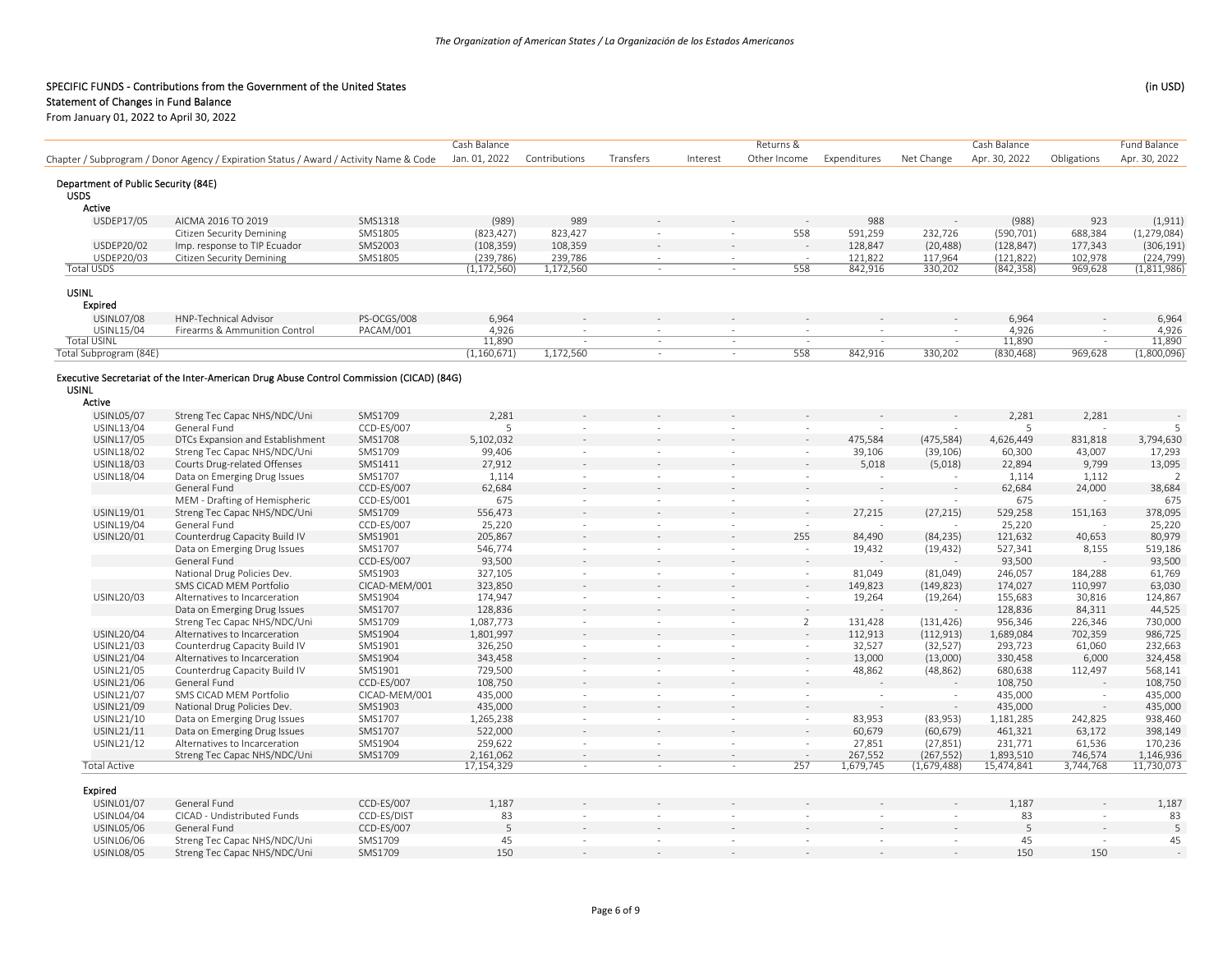## Statement of Changes in Fund Balance

|                                                    |                                                                                         |               | Cash Balance  |               |                          |          | Returns &                |              |                          | Cash Balance  |                          | <b>Fund Balance</b>        |
|----------------------------------------------------|-----------------------------------------------------------------------------------------|---------------|---------------|---------------|--------------------------|----------|--------------------------|--------------|--------------------------|---------------|--------------------------|----------------------------|
|                                                    | Chapter / Subprogram / Donor Agency / Expiration Status / Award / Activity Name & Code  |               | Jan. 01, 2022 | Contributions | Transfers                | Interest | Other Income             | Expenditures | Net Change               | Apr. 30, 2022 | Obligations              | Apr. 30, 2022              |
|                                                    |                                                                                         |               |               |               |                          |          |                          |              |                          |               |                          |                            |
| Department of Public Security (84E)<br><b>USDS</b> |                                                                                         |               |               |               |                          |          |                          |              |                          |               |                          |                            |
| Active                                             |                                                                                         |               |               |               |                          |          |                          |              |                          |               |                          |                            |
| USDEP17/05                                         | AICMA 2016 TO 2019                                                                      | SMS1318       | (989)         | 989           |                          |          |                          | 988          |                          | (988)         | 923                      | (1, 911)                   |
|                                                    | <b>Citizen Security Demining</b>                                                        | SMS1805       | (823, 427)    | 823,427       | ÷.                       | $\sim$   | 558                      | 591,259      | 232,726                  | (590, 701)    | 688,384                  | (1, 279, 084)              |
| USDEP20/02                                         | Imp. response to TIP Ecuador                                                            | SMS2003       | (108, 359)    | 108,359       |                          |          |                          | 128,847      | (20, 488)                | (128, 847)    | 177,343                  | (306, 191)                 |
| USDEP20/03                                         | <b>Citizen Security Demining</b>                                                        | SMS1805       | (239, 786)    | 239,786       | $\sim$                   | $\sim$   |                          | 121,822      | 117,964                  | (121, 822)    | 102,978                  |                            |
| <b>Total USDS</b>                                  |                                                                                         |               | (1, 172, 560) | 1,172,560     | $\sim$                   |          | 558                      | 842,916      | 330,202                  | (842, 358)    | 969,628                  | $(224,799)$<br>(1,811,986) |
| <b>USINL</b>                                       |                                                                                         |               |               |               |                          |          |                          |              |                          |               |                          |                            |
| Expired                                            |                                                                                         |               |               |               |                          |          |                          |              |                          |               |                          |                            |
| <b>USINL07/08</b>                                  | <b>HNP-Technical Advisor</b>                                                            | PS-OCGS/008   | 6,964         |               |                          |          |                          |              |                          | 6,964         |                          | 6,964                      |
| USINL15/04                                         | Firearms & Ammunition Control                                                           | PACAM/001     | 4,926         |               |                          |          |                          |              |                          | 4,926         |                          | 4,926                      |
| <b>Total USINL</b>                                 |                                                                                         |               | 11,890        |               | $\sim$                   | $\sim$   | $\sim$                   |              | $\overline{a}$           | 11,890        |                          | 11,890                     |
| Total Subprogram (84E)                             |                                                                                         |               | (1, 160, 671) | 1,172,560     | $\sim$                   | $\sim$   | 558                      | 842,916      | 330,202                  | (830, 468)    | 969,628                  | (1,800,096)                |
|                                                    |                                                                                         |               |               |               |                          |          |                          |              |                          |               |                          |                            |
|                                                    | Executive Secretariat of the Inter-American Drug Abuse Control Commission (CICAD) (84G) |               |               |               |                          |          |                          |              |                          |               |                          |                            |
| <b>USINL</b>                                       |                                                                                         |               |               |               |                          |          |                          |              |                          |               |                          |                            |
| Active                                             |                                                                                         |               |               |               |                          |          |                          |              |                          |               |                          |                            |
| <b>USINL05/07</b>                                  | Streng Tec Capac NHS/NDC/Uni                                                            | SMS1709       | 2,281         |               |                          |          |                          |              |                          | 2,281         | 2,281                    |                            |
| USINL13/04                                         | General Fund                                                                            | CCD-ES/007    | 5             | $\sim$        | $\sim$                   | $\sim$   | $\sim$                   |              |                          | 5             |                          | 5                          |
| <b>USINL17/05</b>                                  | DTCs Expansion and Establishment                                                        | SMS1708       | 5,102,032     |               |                          |          |                          | 475,584      | (475, 584)               | 4,626,449     | 831,818                  | 3,794,630                  |
| USINL18/02                                         | Streng Tec Capac NHS/NDC/Uni                                                            | SMS1709       | 99,406        | $\sim$        | $\sim$                   | $\sim$   | $\sim$                   | 39,106       | (39, 106)                | 60,300        | 43,007                   | 17,293                     |
| USINL18/03                                         | Courts Drug-related Offenses                                                            | SMS1411       | 27,912        |               |                          |          |                          | 5,018        | (5,018)                  | 22,894        | 9,799                    | 13,095                     |
| USINL18/04                                         | Data on Emerging Drug Issues                                                            | SMS1707       | 1,114         | $\sim$        | $\sim$                   | $\sim$   | $\sim$                   | $\sim$       | - 11                     | 1,114         | 1,112                    | $\overline{\phantom{a}}$   |
|                                                    | General Fund                                                                            | CCD-ES/007    | 62,684        | $\sim$        |                          |          | ÷.                       |              |                          | 62,684        | 24,000                   | 38,684                     |
|                                                    | MEM - Drafting of Hemispheric                                                           | CCD-ES/001    | 675           | $\sim$        | $\sim$                   | $\sim$   | $\sim$                   |              |                          | 675           | $\sim$                   | 675                        |
| USINL19/01                                         | Streng Tec Capac NHS/NDC/Uni                                                            | SMS1709       | 556,473       |               |                          |          | $\sim$                   | 27,215       | (27, 215)                | 529,258       | 151,163                  | 378,095                    |
| USINL19/04                                         | General Fund                                                                            | CCD-ES/007    | 25,220        | $\sim$        | $\overline{\phantom{a}}$ | $\sim$   | $\sim$                   |              |                          | 25,220        | $\sim$                   | 25,220                     |
| USINL20/01                                         | Counterdrug Capacity Build IV                                                           | SMS1901       | 205,867       | $\sim$        |                          | $\sim$   | 255                      | 84,490       | (84, 235)                | 121,632       | 40,653                   | 80,979                     |
|                                                    | Data on Emerging Drug Issues                                                            | SMS1707       | 546,774       | $\sim$        | $\sim$                   | $\sim$   | ÷.                       | 19,432       | (19, 432)                | 527,341       | 8,155                    | 519,186                    |
|                                                    | General Fund                                                                            | CCD-ES/007    | 93,500        |               |                          |          |                          |              |                          | 93,500        |                          | 93,500                     |
|                                                    | National Drug Policies Dev.                                                             | SMS1903       | 327,105       | $\omega$      | $\sim$                   | $\sim$   | $\overline{\phantom{a}}$ | 81,049       | (81,049)                 | 246,057       | 184,288                  | 61,769                     |
|                                                    | SMS CICAD MEM Portfolio                                                                 | CICAD-MEM/001 | 323,850       |               |                          |          |                          | 149,823      | (149, 823)               | 174,027       | 110,997                  | 63,030                     |
| USINL20/03                                         | Alternatives to Incarceration                                                           | SMS1904       | 174,947       | $\sim$        | $\sim$                   | $\sim$   | $\sim$                   | 19,264       | (19, 264)                | 155,683       | 30,816                   | 124,867                    |
|                                                    | Data on Emerging Drug Issues                                                            | SMS1707       | 128,836       |               |                          |          |                          |              |                          | 128,836       | 84,311                   | 44,525                     |
|                                                    | Streng Tec Capac NHS/NDC/Uni                                                            | SMS1709       | 1,087,773     | $\sim$        | $\sim$                   | $\sim$   | $\overline{2}$           | 131,428      | (131, 426)               | 956,346       | 226,346                  | 730,000                    |
| <b>USINL20/04</b>                                  | Alternatives to Incarceration                                                           | SMS1904       | 1,801,997     |               |                          |          |                          | 112,913      | (112, 913)               | 1,689,084     | 702,359                  | 986,725                    |
| USINL21/03                                         | Counterdrug Capacity Build IV                                                           | SMS1901       | 326,250       | $\sim$        | $\sim$                   | $\sim$   | $\sim$                   | 32,527       | (32, 527)                | 293,723       | 61,060                   | 232,663                    |
| <b>USINL21/04</b>                                  | Alternatives to Incarceration                                                           | SMS1904       | 343,458       |               |                          |          |                          | 13,000       | (13,000)                 | 330,458       | 6,000                    | 324,458                    |
| USINL21/05                                         | Counterdrug Capacity Build IV                                                           | SMS1901       | 729,500       | $\sim$        | $\sim$                   | $\sim$   | $\sim$                   | 48,862       | (48, 862)                | 680,638       | 112,497                  | 568,141                    |
| USINL21/06                                         | General Fund                                                                            | CCD-ES/007    | 108,750       |               |                          |          |                          |              |                          | 108,750       |                          | 108,750                    |
| USINL21/07                                         | SMS CICAD MEM Portfolio                                                                 | CICAD-MEM/001 | 435,000       | $\sim$        | $\sim$                   | $\sim$   | ÷.                       | $\sim$       | $\sim$                   | 435,000       | ÷.                       | 435,000                    |
| USINL21/09                                         | National Drug Policies Dev.                                                             | SMS1903       | 435,000       |               |                          |          |                          |              | $\overline{\phantom{a}}$ | 435,000       | $\overline{\phantom{a}}$ | 435,000                    |
| USINL21/10                                         | Data on Emerging Drug Issues                                                            | SMS1707       | 1,265,238     | $\sim$        | $\sim$                   | $\sim$   | $\sim$                   | 83,953       | (83,953)                 | 1,181,285     | 242,825                  | 938,460                    |
| USINL21/11                                         | Data on Emerging Drug Issues                                                            | SMS1707       | 522,000       |               |                          |          |                          | 60,679       | (60, 679)                | 461,321       | 63,172                   | 398,149                    |
| USINL21/12                                         | Alternatives to Incarceration                                                           | SMS1904       | 259,622       | $\sim$        | $\sim$                   | $\sim$   | $\sim$                   | 27,851       | (27, 851)                | 231,771       | 61,536                   | 170,236                    |
|                                                    | Streng Tec Capac NHS/NDC/Uni                                                            | SMS1709       | 2,161,062     | $\sim$        | $\sim$                   |          |                          | 267,552      | (267, 552)               | 1,893,510     | 746,574                  | 1,146,936                  |
| <b>Total Active</b>                                |                                                                                         |               | 17,154,329    | $\sim$        | $\sim$                   | $\sim$   | 257                      | 1,679,745    | (1,679,488)              | 15,474,841    | 3,744,768                | 11,730,073                 |
| Expired                                            |                                                                                         |               |               |               |                          |          |                          |              |                          |               |                          |                            |
| <b>USINL01/07</b>                                  | General Fund                                                                            | CCD-ES/007    | 1,187         |               |                          |          |                          |              |                          | 1,187         |                          | 1,187                      |
| USINL04/04                                         | CICAD - Undistributed Funds                                                             | CCD-ES/DIST   | 83            |               | $\sim$                   | $\sim$   | $\sim$                   |              | $\sim$                   | 83            | $\sim$                   | 83                         |
| <b>USINL05/06</b>                                  | General Fund                                                                            | CCD-ES/007    | 5             |               |                          |          |                          |              |                          | 5             |                          | 5                          |
| USINL06/06                                         | Streng Tec Capac NHS/NDC/Uni                                                            | SMS1709       | 45            |               |                          | $\sim$   |                          |              |                          | 45            |                          | 45                         |
| <b>USINL08/05</b>                                  | Streng Tec Capac NHS/NDC/Uni                                                            | SMS1709       | 150           |               |                          |          |                          |              |                          | 150           | 150                      |                            |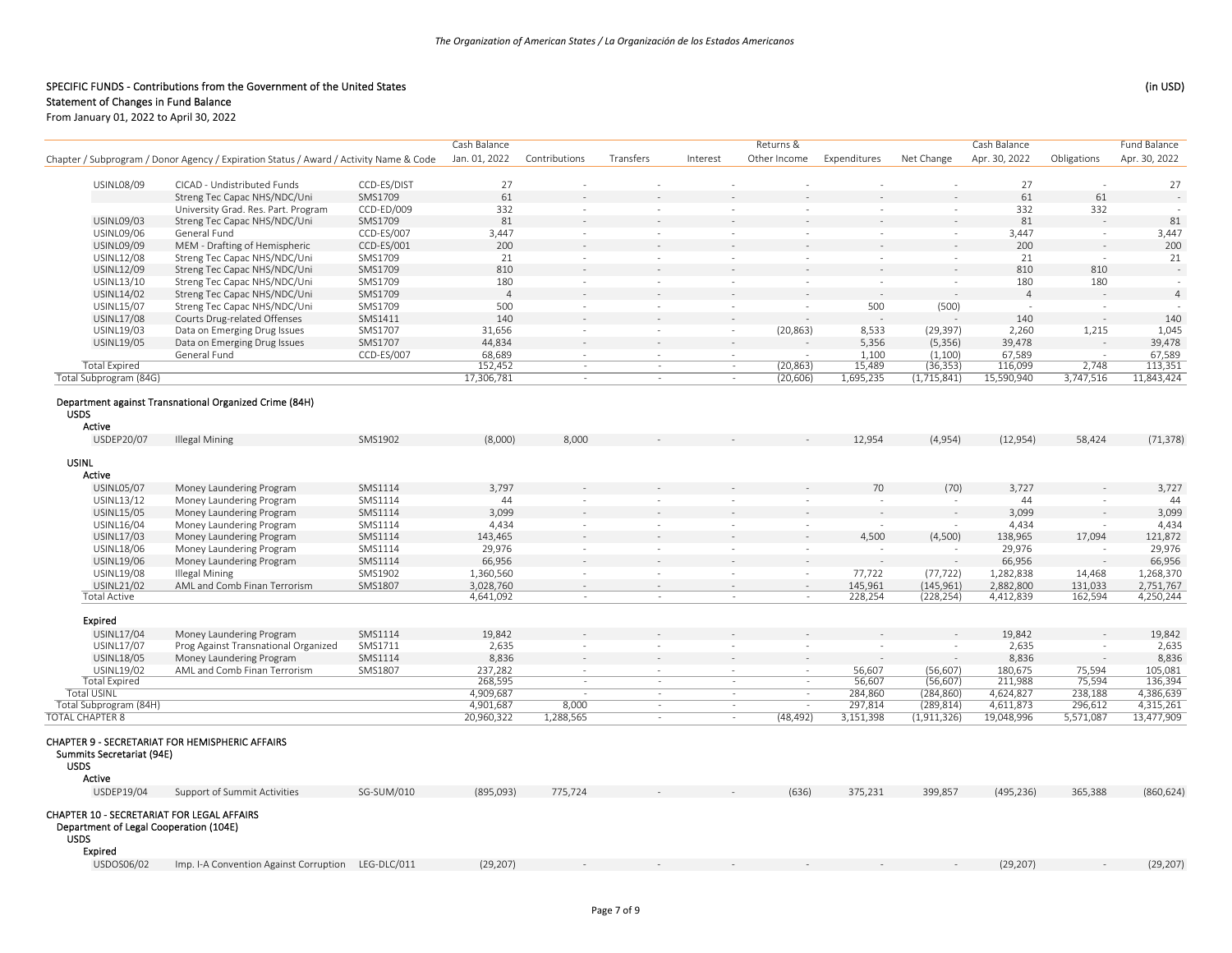|                                            |                                                                                        |             | Cash Balance   |                          |           |          | Returns &                |              |             | Cash Balance   |             | Fund Balance   |
|--------------------------------------------|----------------------------------------------------------------------------------------|-------------|----------------|--------------------------|-----------|----------|--------------------------|--------------|-------------|----------------|-------------|----------------|
|                                            | Chapter / Subprogram / Donor Agency / Expiration Status / Award / Activity Name & Code |             | Jan. 01, 2022  | Contributions            | Transfers | Interest | Other Income             | Expenditures | Net Change  | Apr. 30, 2022  | Obligations | Apr. 30, 2022  |
|                                            |                                                                                        |             |                |                          |           |          |                          |              |             |                |             |                |
| <b>USINL08/09</b>                          | CICAD - Undistributed Funds                                                            | CCD-ES/DIST | 27             | ÷                        |           |          |                          | $\sim$       | ÷.          | 27             | $\sim$      | 27             |
|                                            | Streng Tec Capac NHS/NDC/Uni                                                           | SMS1709     | 61             |                          |           |          |                          |              |             | 61             | 61          |                |
|                                            | University Grad. Res. Part. Program                                                    | CCD-ED/009  | 332            | $\sim$                   | $\sim$    | $\sim$   | $\sim$                   | $\sim$       | $\sim$      | 332            | 332         | $\sim$         |
| <b>USINL09/03</b>                          | Streng Tec Capac NHS/NDC/Uni                                                           | SMS1709     | 81             |                          |           |          |                          |              |             | 81             |             | 81             |
| USINL09/06                                 | General Fund                                                                           | CCD-ES/007  | 3,447          | $\sim$                   | $\sim$    | $\sim$   | $\sim$                   | $\sim$       | $\sim$      | 3,447          | $\sim$      | 3,447          |
| <b>USINL09/09</b>                          | MEM - Drafting of Hemispheric                                                          | CCD-ES/001  | 200            |                          |           | $\sim$   |                          |              |             | 200            |             | 200            |
| <b>USINL12/08</b>                          | Streng Tec Capac NHS/NDC/Uni                                                           | SMS1709     | 21             | $\sim$                   | $\sim$    | $\sim$   | $\sim$                   | $\sim$       | $\sim$      | 21             | $\sim$      | 21             |
| USINL12/09                                 | Streng Tec Capac NHS/NDC/Uni                                                           | SMS1709     | 810            | $\sim$                   |           |          |                          |              |             | 810            | 810         |                |
| USINL13/10                                 | Streng Tec Capac NHS/NDC/Uni                                                           | SMS1709     | 180            | $\sim$                   | $\sim$    | $\sim$   | $\sim$                   | $\sim$       | $\sim$      | 180            | 180         | $\overline{a}$ |
| USINL14/02                                 | Streng Tec Capac NHS/NDC/Uni                                                           | SMS1709     | $\overline{4}$ |                          |           | $\sim$   |                          | $\sim$       |             | $\overline{4}$ |             | $\overline{a}$ |
| USINL15/07                                 | Streng Tec Capac NHS/NDC/Uni                                                           | SMS1709     | 500            | $\sim$                   | $\sim$    | $\sim$   | $\sim$                   | 500          | (500)       | $\sim$         | $\sim$      |                |
| <b>USINL17/08</b>                          | Courts Drug-related Offenses                                                           | SMS1411     | 140            | $\overline{a}$           |           | $\sim$   |                          |              |             | 140            |             | 140            |
| USINL19/03                                 | Data on Emerging Drug Issues                                                           | SMS1707     | 31,656         | $\sim$                   | $\sim$    | $\sim$   | (20, 863)                | 8,533        | (29, 397)   | 2,260          | 1,215       | 1,045          |
| <b>USINL19/05</b>                          | Data on Emerging Drug Issues                                                           | SMS1707     | 44,834         | $\sim$                   |           | $\sim$   |                          | 5,356        | (5, 356)    | 39,478         |             | 39,478         |
|                                            | General Fund                                                                           | CCD-ES/007  | 68,689         | $\sim$                   | $\sim$    | $\sim$   |                          | 1,100        | (1,100)     | 67,589         |             | 67,589         |
| <b>Total Expired</b>                       |                                                                                        |             | 152,452        | $\sim$                   | $\sim$    | $\sim$   | (20, 863)                | 15,489       | (36, 353)   | 116,099        | 2,748       | 113,351        |
| Total Subprogram (84G)                     |                                                                                        |             | 17,306,781     | $\sim$                   | $\sim$    | $\sim$   | (20, 606)                | 1,695,235    | (1,715,841) | 15,590,940     | 3,747,516   | 11,843,424     |
| <b>USDS</b>                                | Department against Transnational Organized Crime (84H)                                 |             |                |                          |           |          |                          |              |             |                |             |                |
| Active                                     |                                                                                        |             |                |                          |           |          |                          |              |             |                |             |                |
| USDEP20/07                                 | <b>Illegal Mining</b>                                                                  | SMS1902     | (8,000)        | 8,000                    |           |          |                          | 12,954       | (4,954)     | (12, 954)      | 58,424      | (71, 378)      |
|                                            |                                                                                        |             |                |                          |           |          |                          |              |             |                |             |                |
| <b>USINL</b>                               |                                                                                        |             |                |                          |           |          |                          |              |             |                |             |                |
| Active                                     |                                                                                        |             |                |                          |           |          |                          |              |             |                |             |                |
| <b>USINL05/07</b>                          | Money Laundering Program                                                               | SMS1114     | 3,797          |                          |           |          |                          | 70           | (70)        | 3,727          |             | 3,727          |
| USINL13/12                                 | Money Laundering Program                                                               | SMS1114     | 44             | $\overline{\phantom{a}}$ |           | $\sim$   | $\sim$                   | $\sim$       | $\sim$      | 44             | $\sim$      | 44             |
| USINL15/05                                 | Money Laundering Program                                                               | SMS1114     | 3,099          |                          |           |          |                          |              |             | 3,099          |             | 3,099          |
| USINL16/04                                 | Money Laundering Program                                                               | SMS1114     | 4,434          | $\sim$                   | $\sim$    | $\sim$   | $\sim$                   |              |             | 4,434          |             | 4,434          |
| USINL17/03                                 | Money Laundering Program                                                               | SMS1114     | 143,465        |                          |           |          |                          | 4,500        | (4,500)     | 138,965        | 17,094      | 121,872        |
| USINL18/06                                 | Money Laundering Program                                                               | SMS1114     | 29,976         | $\sim$                   | $\sim$    | $\sim$   | $\sim$                   | $\sim$       | $\sim$      | 29,976         | $\sim$      | 29,976         |
| USINL19/06                                 | Money Laundering Program                                                               | SMS1114     | 66,956         |                          |           |          |                          |              |             | 66,956         |             | 66,956         |
| USINL19/08                                 | Illegal Mining                                                                         | SMS1902     | 1,360,560      | $\sim$                   | $\sim$    | $\sim$   | $\sim$                   | 77,722       | (77, 722)   | 1,282,838      | 14,468      | 1,268,370      |
| USINL21/02                                 | AML and Comb Finan Terrorism                                                           | SMS1807     | 3,028,760      | $\mathbf{r}$             |           | $\sim$   |                          | 145,961      | (145, 961)  | 2,882,800      | 131,033     | 2,751,767      |
| <b>Total Active</b>                        |                                                                                        |             | 4,641,092      |                          | $\sim$    |          | $\overline{\phantom{a}}$ | 228,254      | (228, 254)  | 4,412,839      | 162,594     | 4,250,244      |
|                                            |                                                                                        |             |                |                          |           |          |                          |              |             |                |             |                |
| <b>Expired</b>                             |                                                                                        |             |                |                          |           |          |                          |              |             |                |             |                |
| USINL17/04                                 | Money Laundering Program                                                               | SMS1114     | 19,842         |                          |           |          |                          |              |             | 19,842         |             | 19,842         |
| USINL17/07                                 | Prog Against Transnational Organized                                                   | SMS1711     | 2,635          | $\sim$                   | $\sim$    | $\sim$   | $\sim$                   | $\sim$       |             | 2,635          |             | 2,635          |
| <b>USINL18/05</b>                          | Money Laundering Program                                                               | SMS1114     | 8,836          |                          |           |          |                          |              |             | 8,836          |             | 8,836          |
| USINL19/02                                 | AML and Comb Finan Terrorism                                                           | SMS1807     | 237,282        |                          |           |          |                          | 56,607       | (56, 607)   | 180,675        | 75,594      | 105,081        |
| <b>Total Expired</b>                       |                                                                                        |             | 268,595        | $\sim$                   | $\sim$    | $\sim$   | $\sim$                   | 56,607       | (56, 607)   | 211,988        | 75,594      | 136,394        |
| <b>Total USINL</b>                         |                                                                                        |             | 4,909,687      | $\sim$                   | $\sim$    | $\sim$   | $\sim$                   | 284,860      | (284, 860)  | 4,624,827      | 238,188     | 4,386,639      |
| Total Subprogram (84H)                     |                                                                                        |             | 4,901,687      | 8,000                    | $\sim$    | $\sim$   | $\sim$                   | 297,814      | (289, 814)  | 4,611,873      | 296,612     | 4,315,261      |
| <b>TOTAL CHAPTER 8</b>                     |                                                                                        |             | 20,960,322     | 1,288,565                | $\sim$    | $\sim$   | (48, 492)                | 3,151,398    | (1,911,326) | 19,048,996     | 5,571,087   | 13,477,909     |
|                                            |                                                                                        |             |                |                          |           |          |                          |              |             |                |             |                |
| Summits Secretariat (94E)                  | CHAPTER 9 - SECRETARIAT FOR HEMISPHERIC AFFAIRS                                        |             |                |                          |           |          |                          |              |             |                |             |                |
| <b>USDS</b>                                |                                                                                        |             |                |                          |           |          |                          |              |             |                |             |                |
| Active                                     |                                                                                        |             |                |                          |           |          |                          |              |             |                |             |                |
| USDEP19/04                                 | Support of Summit Activities                                                           | SG-SUM/010  | (895,093)      | 775,724                  |           |          | (636)                    | 375,231      | 399,857     | (495, 236)     | 365,388     | (860, 624)     |
|                                            |                                                                                        |             |                |                          |           |          |                          |              |             |                |             |                |
| CHAPTER 10 - SECRETARIAT FOR LEGAL AFFAIRS |                                                                                        |             |                |                          |           |          |                          |              |             |                |             |                |
| Department of Legal Cooperation (104E)     |                                                                                        |             |                |                          |           |          |                          |              |             |                |             |                |
| <b>USDS</b>                                |                                                                                        |             |                |                          |           |          |                          |              |             |                |             |                |
| Expired                                    |                                                                                        |             |                |                          |           |          |                          |              |             |                |             |                |
| USDOS06/02                                 | Imp. I-A Convention Against Corruption LEG-DLC/011                                     |             | (29, 207)      |                          |           |          |                          |              |             | (29, 207)      |             | (29, 207)      |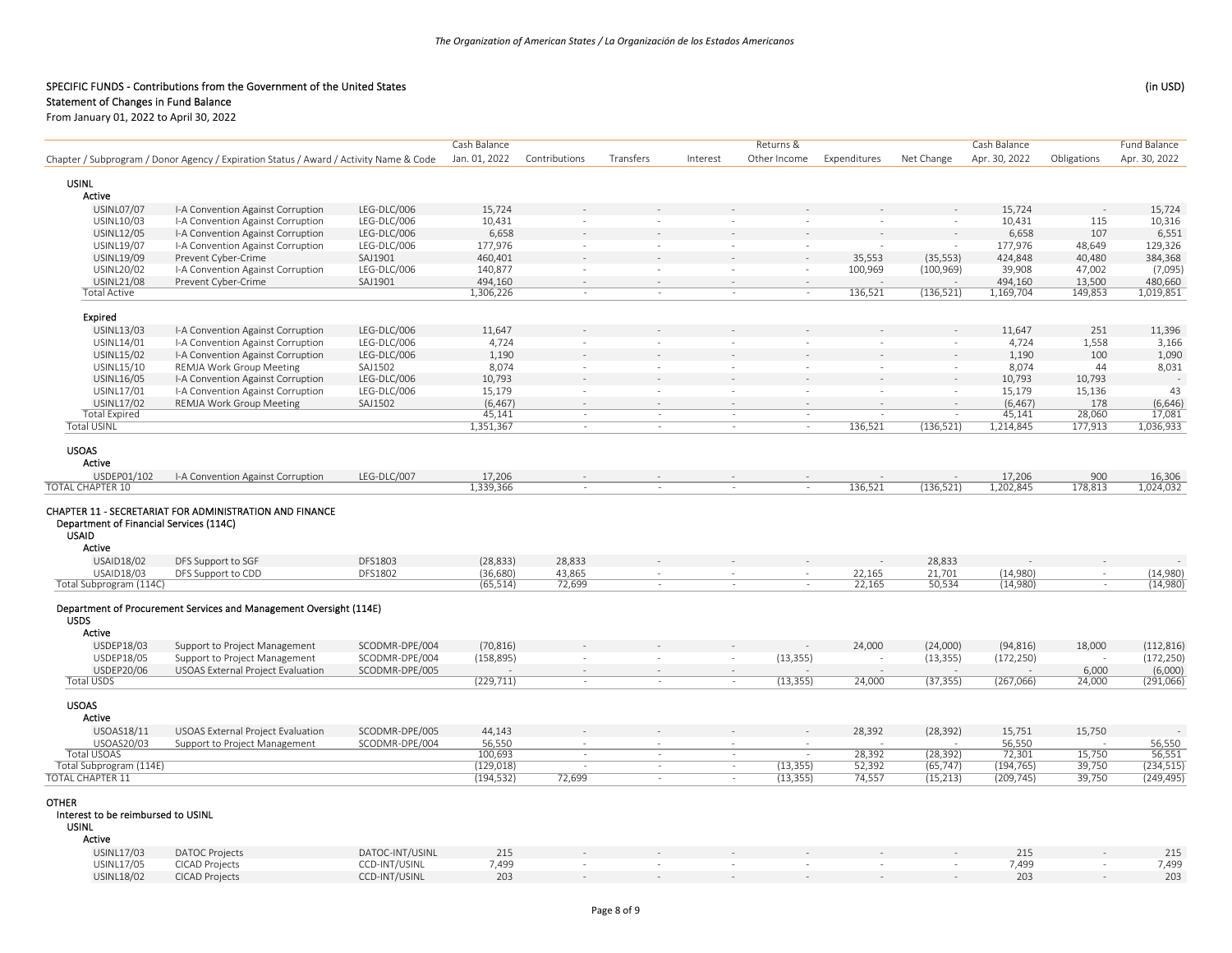|                                                                       |                                                                                        |                        | Cash Balance       |               |           |          | Returns &                |                   |                          | Cash Balance      |                  | Fund Balance                |
|-----------------------------------------------------------------------|----------------------------------------------------------------------------------------|------------------------|--------------------|---------------|-----------|----------|--------------------------|-------------------|--------------------------|-------------------|------------------|-----------------------------|
|                                                                       | Chapter / Subprogram / Donor Agency / Expiration Status / Award / Activity Name & Code |                        | Jan. 01, 2022      | Contributions | Transfers | Interest | Other Income             | Expenditures      | Net Change               | Apr. 30, 2022     | Obligations      | Apr. 30, 2022               |
|                                                                       |                                                                                        |                        |                    |               |           |          |                          |                   |                          |                   |                  |                             |
| <b>USINL</b>                                                          |                                                                                        |                        |                    |               |           |          |                          |                   |                          |                   |                  |                             |
| Active                                                                |                                                                                        |                        |                    |               |           |          |                          |                   |                          |                   |                  |                             |
| <b>USINL07/07</b>                                                     | I-A Convention Against Corruption                                                      | LEG-DLC/006            | 15,724             |               |           |          |                          |                   |                          | 15,724            |                  | 15,724                      |
| USINL10/03                                                            | I-A Convention Against Corruption                                                      | LEG-DLC/006            | 10,431             |               |           |          | $\overline{\phantom{a}}$ | $\sim$            |                          | 10,431            | 115              | 10,316                      |
| USINL12/05                                                            | I-A Convention Against Corruption                                                      | LEG-DLC/006            | 6,658              |               |           |          |                          |                   |                          | 6,658             | 107              | 6,551                       |
| USINL19/07                                                            | I-A Convention Against Corruption                                                      | LEG-DLC/006            | 177,976            | $\sim$        | $\sim$    |          | $\sim$                   |                   |                          | 177,976           | 48,649           | 129,326                     |
| USINL19/09<br>USINL20/02                                              | Prevent Cyber-Crime<br>I-A Convention Against Corruption                               | SAJ1901<br>LEG-DLC/006 | 460,401<br>140,877 | $\sim$        | $\sim$    | $\sim$   | $\sim$                   | 35,553<br>100,969 | (35, 553)                | 424,848<br>39,908 | 40,480<br>47,002 | 384,368<br>(7,095)          |
| <b>USINL21/08</b>                                                     | Prevent Cyber-Crime                                                                    | SAJ1901                | 494,160            |               |           |          |                          |                   | (100, 969)               | 494,160           | 13,500           | 480,660                     |
| <b>Total Active</b>                                                   |                                                                                        |                        | 1,306,226          | $\sim$        | $\sim$    | $\sim$   | $\sim$                   | 136,521           | (136, 521)               | 1,169,704         | 149,853          | 1,019,851                   |
|                                                                       |                                                                                        |                        |                    |               |           |          |                          |                   |                          |                   |                  |                             |
| <b>Expired</b>                                                        |                                                                                        |                        |                    |               |           |          |                          |                   |                          |                   |                  |                             |
| USINL13/03                                                            | I-A Convention Against Corruption                                                      | LEG-DLC/006            | 11,647             |               |           |          |                          |                   |                          | 11,647            | 251              | 11,396                      |
| USINL14/01                                                            | I-A Convention Against Corruption                                                      | LEG-DLC/006            | 4,724              | ÷.            | $\sim$    | $\sim$   | $\sim$                   |                   |                          | 4,724             | 1,558            | 3,166                       |
| <b>USINL15/02</b>                                                     | I-A Convention Against Corruption                                                      | LEG-DLC/006            | 1,190              |               |           |          |                          |                   |                          | 1,190             | 100              | 1,090                       |
| USINL15/10                                                            | <b>REMJA Work Group Meeting</b>                                                        | SAJ1502                | 8,074              | $\sim$        | $\sim$    |          | ÷,                       | $\sim$            | $\sim$                   | 8,074             | 44               | 8,031                       |
| USINL16/05                                                            | I-A Convention Against Corruption                                                      | LEG-DLC/006            | 10,793             |               |           |          |                          |                   |                          | 10,793            | 10,793           |                             |
| USINL17/01                                                            | I-A Convention Against Corruption                                                      | LEG-DLC/006            | 15,179             | $\sim$        | $\sim$    |          |                          |                   | $\overline{\phantom{a}}$ | 15,179            | 15,136           | 43                          |
| USINL17/02                                                            | <b>REMJA Work Group Meeting</b>                                                        | SAJ1502                | (6, 467)           | $\sim$        |           |          | $\sim$                   |                   |                          | (6, 467)          | 178              | (6, 646)                    |
| <b>Total Expired</b>                                                  |                                                                                        |                        | 45,141             | $\sim$        | $\sim$    | $\sim$   | $\overline{\phantom{a}}$ |                   |                          | 45,141            | 28,060           | 17,081                      |
| <b>Total USINL</b>                                                    |                                                                                        |                        | 1,351,367          | $\sim$        |           |          | $\sim$                   | 136,521           | (136, 521)               | 1,214,845         | 177,913          | 1,036,933                   |
|                                                                       |                                                                                        |                        |                    |               |           |          |                          |                   |                          |                   |                  |                             |
| <b>USOAS</b>                                                          |                                                                                        |                        |                    |               |           |          |                          |                   |                          |                   |                  |                             |
| Active                                                                |                                                                                        |                        |                    |               |           |          |                          |                   |                          |                   |                  |                             |
| USDEP01/102                                                           | I-A Convention Against Corruption                                                      | LEG-DLC/007            | 17,206             |               |           |          |                          |                   |                          | 17,206            | 900              | 16,306                      |
| TOTAL CHAPTER 10                                                      |                                                                                        |                        | 1,339,366          | $\sim$        | $\sim$    |          | ÷,                       | 136,521           | (136, 521)               | 1,202,845         | 178,813          | 1,024,032                   |
| Department of Financial Services (114C)<br><b>USAID</b><br>Active     |                                                                                        |                        |                    |               |           |          |                          |                   |                          |                   |                  |                             |
| USAID18/02                                                            | DFS Support to SGF                                                                     | DFS1803                | (28, 833)          | 28,833        |           |          |                          |                   | 28,833                   |                   |                  |                             |
| USAID18/03                                                            | DFS Support to CDD                                                                     | DFS1802                | (36, 680)          | 43,865        |           |          |                          | 22,165            | 21,701                   | (14,980)          |                  | $\frac{(14,980)}{(14,980)}$ |
| Total Subprogram (114C)                                               |                                                                                        |                        | (65, 514)          | 72,699        |           |          | $\sim$                   | 22,165            | 50,534                   | (14,980)          |                  |                             |
| <b>USDS</b><br>Active                                                 | Department of Procurement Services and Management Oversight (114E)                     |                        |                    |               |           |          |                          |                   |                          |                   |                  |                             |
| USDEP18/03                                                            | Support to Project Management                                                          | SCODMR-DPE/004         | (70, 816)          |               |           |          |                          | 24,000            | (24,000)                 | (94, 816)         | 18,000           | (112, 816)                  |
| <b>USDEP18/05</b>                                                     | Support to Project Management                                                          | SCODMR-DPE/004         | (158, 895)         |               | $\sim$    | $\sim$   | (13, 355)                | $\sim$            | (13, 355)                | (172, 250)        |                  | (172, 250)                  |
| USDEP20/06<br><b>Total USDS</b>                                       | USOAS External Project Evaluation                                                      | SCODMR-DPE/005         | (229, 711)         | $\sim$        | $\sim$    | $\sim$   | (13, 355)                | 24,000            | (37, 355)                | (267,066)         | 6,000<br>24,000  | (6,000)<br>(291,066)        |
|                                                                       |                                                                                        |                        |                    |               |           |          |                          |                   |                          |                   |                  |                             |
| <b>USOAS</b><br>Active                                                |                                                                                        |                        |                    |               |           |          |                          |                   |                          |                   |                  |                             |
| USOAS18/11                                                            | <b>USOAS External Project Evaluation</b>                                               | SCODMR-DPE/005         | 44,143             |               |           |          |                          | 28,392            | (28, 392)                | 15,751            | 15,750           |                             |
| <b>USOAS20/03</b>                                                     | Support to Project Management                                                          | SCODMR-DPE/004         | 56,550             |               |           |          |                          |                   |                          | 56,550            |                  | 56,550<br>56,551            |
| <b>Total USOAS</b>                                                    |                                                                                        |                        | 100,693            | $\sim$        | $\sim$    | $\sim$   | $\sim$                   | 28,392            | (28, 392)                | 72,301            | 15,750           |                             |
| Total Subprogram (114E)                                               |                                                                                        |                        | (129, 018)         | $\sim$        | $\sim$    | $\sim$   | (13, 355)                | 52,392            | (65, 747)                | (194, 765)        | 39,750           | (234, 515)                  |
| <b>TOTAL CHAPTER 11</b>                                               |                                                                                        |                        | (194, 532)         | 72,699        | $\sim$    | $\sim$   | (13, 355)                | 74,557            | (15, 213)                | (209, 745)        | 39,750           | (249, 495)                  |
| OTHER<br>Interest to be reimbursed to USINL<br><b>USINL</b><br>Active |                                                                                        |                        |                    |               |           |          |                          |                   |                          |                   |                  |                             |
| USINL17/03                                                            | <b>DATOC Projects</b>                                                                  | DATOC-INT/USINL        | 215                |               |           |          |                          |                   |                          | 215               |                  | 215                         |
| USINL17/05                                                            | <b>CICAD Projects</b>                                                                  | CCD-INT/USINL          | 7,499              |               |           |          |                          |                   |                          | 7,499             |                  | 7,499                       |
| <b>USINL18/02</b>                                                     | <b>CICAD Projects</b>                                                                  | CCD-INT/USINL          | 203                |               |           |          |                          |                   |                          | 203               |                  | 203                         |